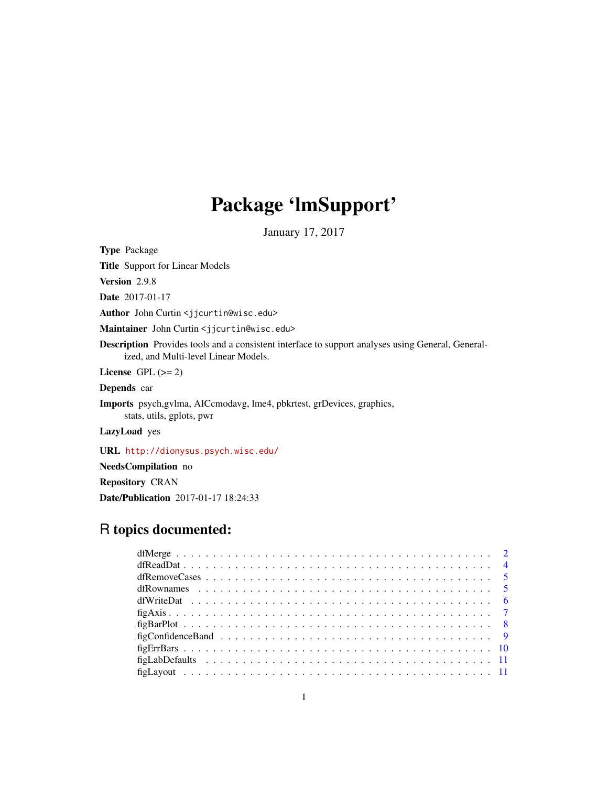## Package 'lmSupport'

January 17, 2017

<span id="page-0-0"></span>Type Package

Title Support for Linear Models

Version 2.9.8

Date 2017-01-17

Author John Curtin <jjcurtin@wisc.edu>

Maintainer John Curtin <jjcurtin@wisc.edu>

Description Provides tools and a consistent interface to support analyses using General, Generalized, and Multi-level Linear Models.

License GPL  $(>= 2)$ 

Depends car

Imports psych,gvlma, AICcmodavg, lme4, pbkrtest, grDevices, graphics, stats, utils, gplots, pwr

LazyLoad yes

URL <http://dionysus.psych.wisc.edu/>

NeedsCompilation no

Repository CRAN

Date/Publication 2017-01-17 18:24:33

## R topics documented: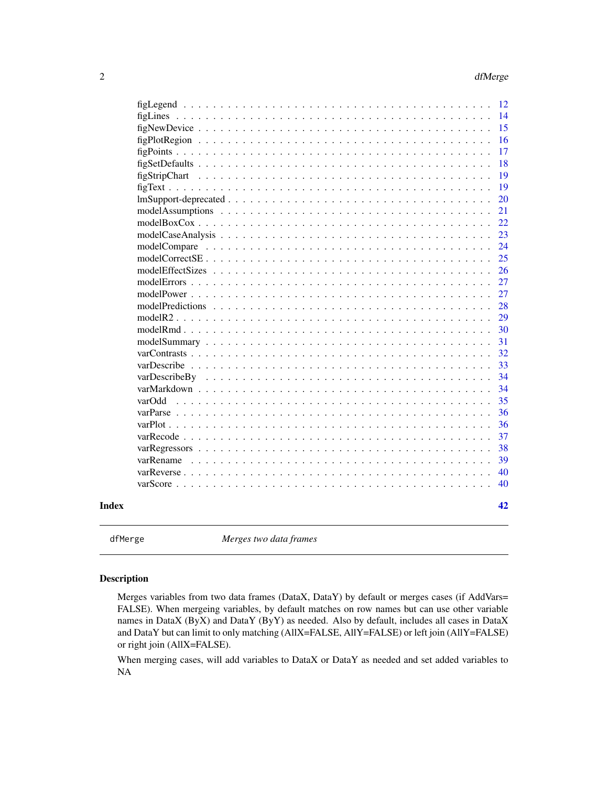<span id="page-1-0"></span>

<span id="page-1-1"></span>

dfMerge *Merges two data frames*

### Description

Merges variables from two data frames (DataX, DataY) by default or merges cases (if AddVars= FALSE). When mergeing variables, by default matches on row names but can use other variable names in DataX (ByX) and DataY (ByY) as needed. Also by default, includes all cases in DataX and DataY but can limit to only matching (AllX=FALSE, AllY=FALSE) or left join (AllY=FALSE) or right join (AllX=FALSE).

When merging cases, will add variables to DataX or DataY as needed and set added variables to NA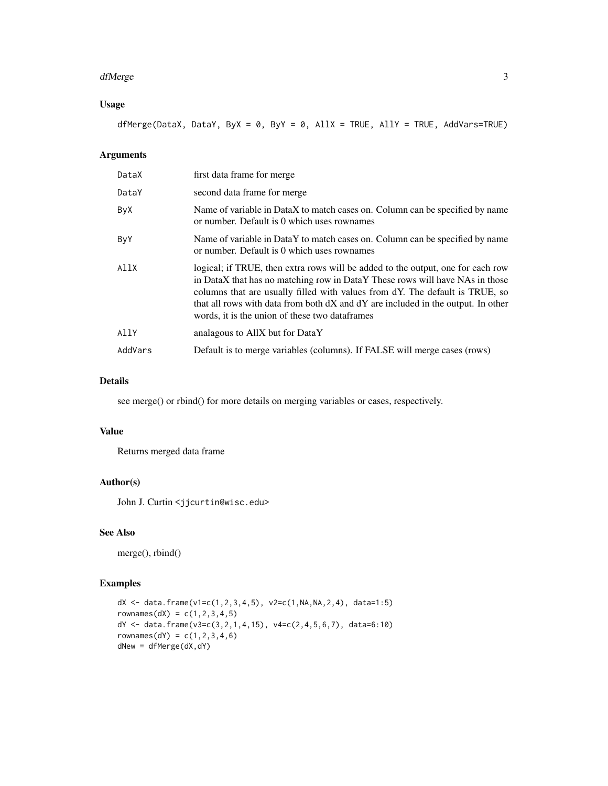#### dfMerge 3

### Usage

dfMerge(DataX, DataY, ByX = 0, ByY = 0, AllX = TRUE, AllY = TRUE, AddVars=TRUE)

### Arguments

| DataX   | first data frame for merge                                                                                                                                                                                                                                                                                                                                                            |
|---------|---------------------------------------------------------------------------------------------------------------------------------------------------------------------------------------------------------------------------------------------------------------------------------------------------------------------------------------------------------------------------------------|
| DataY   | second data frame for merge                                                                                                                                                                                                                                                                                                                                                           |
| ByX     | Name of variable in DataX to match cases on. Column can be specified by name<br>or number. Default is 0 which uses rownames                                                                                                                                                                                                                                                           |
| ByY     | Name of variable in DataY to match cases on. Column can be specified by name<br>or number. Default is 0 which uses rownames                                                                                                                                                                                                                                                           |
| AllX    | logical; if TRUE, then extra rows will be added to the output, one for each row<br>in DataX that has no matching row in DataY These rows will have NAs in those<br>columns that are usually filled with values from dY. The default is TRUE, so<br>that all rows with data from both dX and dY are included in the output. In other<br>words, it is the union of these two dataframes |
| AllY    | analagous to AllX but for DataY                                                                                                                                                                                                                                                                                                                                                       |
| AddVars | Default is to merge variables (columns). If FALSE will merge cases (rows)                                                                                                                                                                                                                                                                                                             |

### Details

see merge() or rbind() for more details on merging variables or cases, respectively.

### Value

Returns merged data frame

### Author(s)

John J. Curtin <jjcurtin@wisc.edu>

### See Also

merge(), rbind()

```
dX <- data.frame(v1=c(1,2,3,4,5), v2=c(1,NA,NA,2,4), data=1:5)
rownames(dX) = c(1, 2, 3, 4, 5)dY <- data.frame(v3=c(3,2,1,4,15), v4=c(2,4,5,6,7), data=6:10)
rownames(dY) = c(1, 2, 3, 4, 6)dNew = dfMerge(dX, dY)
```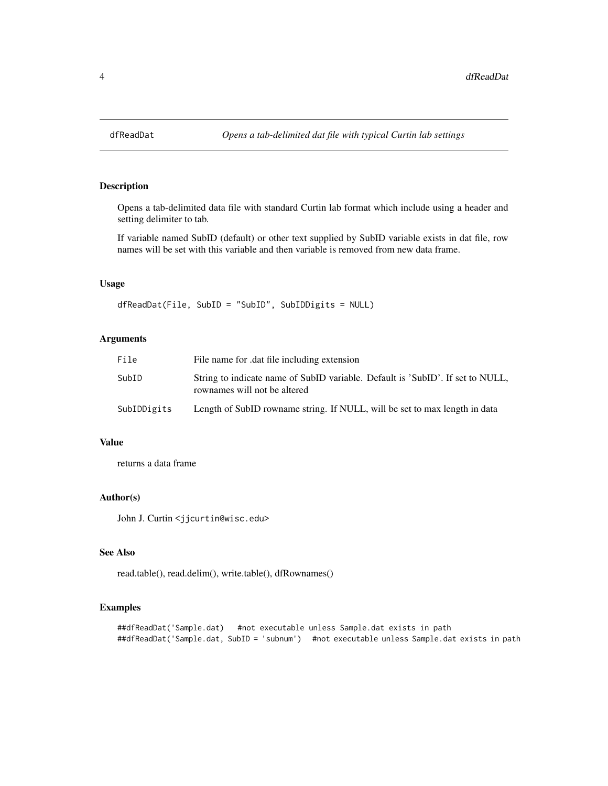<span id="page-3-1"></span><span id="page-3-0"></span>

Opens a tab-delimited data file with standard Curtin lab format which include using a header and setting delimiter to tab.

If variable named SubID (default) or other text supplied by SubID variable exists in dat file, row names will be set with this variable and then variable is removed from new data frame.

### Usage

dfReadDat(File, SubID = "SubID", SubIDDigits = NULL)

### Arguments

| File        | File name for dat file including extension                                                                     |
|-------------|----------------------------------------------------------------------------------------------------------------|
| SubID       | String to indicate name of SubID variable. Default is 'SubID'. If set to NULL,<br>rownames will not be altered |
| SubIDDigits | Length of SubID rowname string. If NULL, will be set to max length in data                                     |

#### Value

returns a data frame

#### Author(s)

John J. Curtin <jjcurtin@wisc.edu>

### See Also

read.table(), read.delim(), write.table(), dfRownames()

```
##dfReadDat('Sample.dat) #not executable unless Sample.dat exists in path
##dfReadDat('Sample.dat, SubID = 'subnum') #not executable unless Sample.dat exists in path
```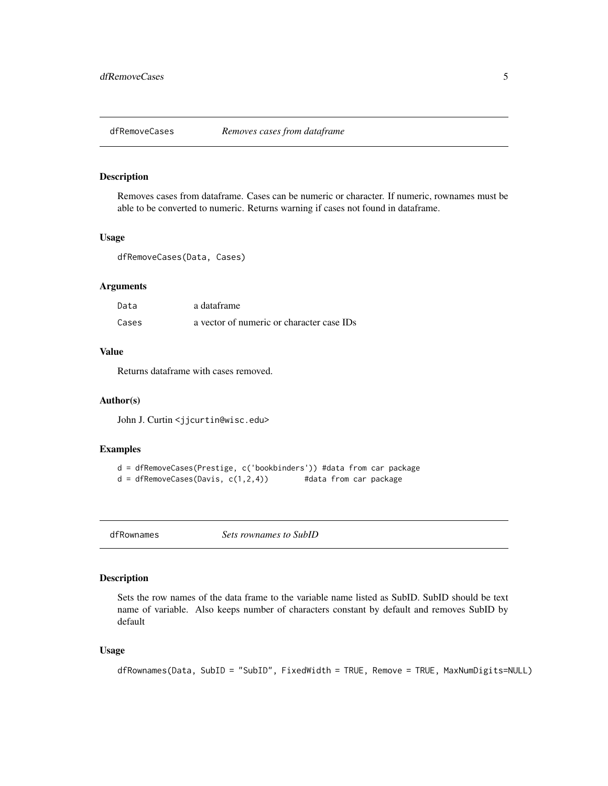<span id="page-4-1"></span><span id="page-4-0"></span>

Removes cases from dataframe. Cases can be numeric or character. If numeric, rownames must be able to be converted to numeric. Returns warning if cases not found in dataframe.

#### Usage

dfRemoveCases(Data, Cases)

### Arguments

| Data  | a dataframe                               |
|-------|-------------------------------------------|
| Cases | a vector of numeric or character case IDs |

### Value

Returns dataframe with cases removed.

#### Author(s)

John J. Curtin <jjcurtin@wisc.edu>

### Examples

```
d = dfRemoveCases(Prestige, c('bookbinders')) #data from car package
d = dfRemoveCases(Davis, c(1,2,4)) #data from car package
```
<span id="page-4-2"></span>dfRownames *Sets rownames to SubID*

#### Description

Sets the row names of the data frame to the variable name listed as SubID. SubID should be text name of variable. Also keeps number of characters constant by default and removes SubID by default

### Usage

```
dfRownames(Data, SubID = "SubID", FixedWidth = TRUE, Remove = TRUE, MaxNumDigits=NULL)
```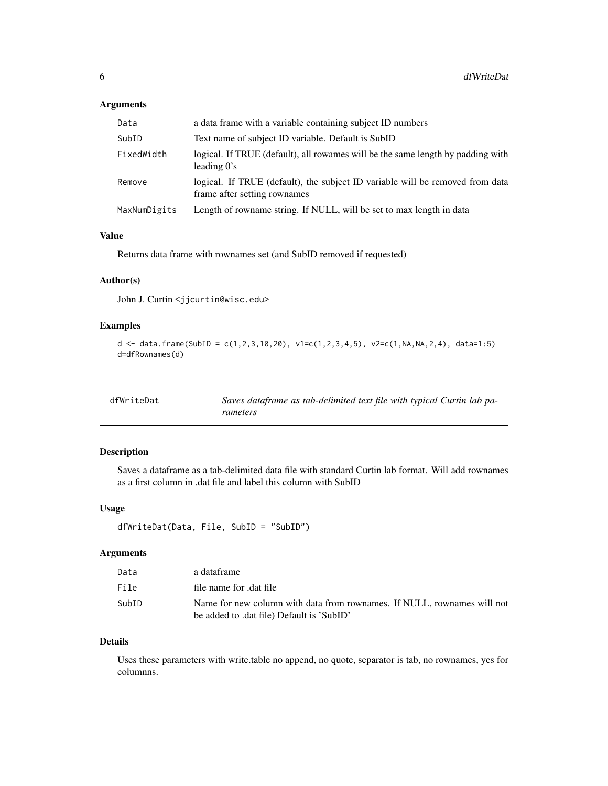### <span id="page-5-0"></span>Arguments

| Data         | a data frame with a variable containing subject ID numbers                                                    |
|--------------|---------------------------------------------------------------------------------------------------------------|
| SubID        | Text name of subject ID variable. Default is SubID                                                            |
| FixedWidth   | logical. If TRUE (default), all rowames will be the same length by padding with<br>leading $0's$              |
| Remove       | logical. If TRUE (default), the subject ID variable will be removed from data<br>frame after setting rownames |
| MaxNumDigits | Length of rowname string. If NULL, will be set to max length in data                                          |

### Value

Returns data frame with rownames set (and SubID removed if requested)

### Author(s)

John J. Curtin <jjcurtin@wisc.edu>

### Examples

```
d <- data.frame(SubID = c(1,2,3,10,20), v1=c(1,2,3,4,5), v2=c(1,NA,NA,2,4), data=1:5)
d=dfRownames(d)
```
<span id="page-5-1"></span>

| dfWriteDat | Saves dataframe as tab-delimited text file with typical Curtin lab pa- |
|------------|------------------------------------------------------------------------|
|            | rameters                                                               |

### Description

Saves a dataframe as a tab-delimited data file with standard Curtin lab format. Will add rownames as a first column in .dat file and label this column with SubID

### Usage

```
dfWriteDat(Data, File, SubID = "SubID")
```
### Arguments

| Data  | a dataframe                                                                                                          |
|-------|----------------------------------------------------------------------------------------------------------------------|
| File  | file name for dat file                                                                                               |
| SubID | Name for new column with data from rownames. If NULL, rownames will not<br>be added to .dat file) Default is 'SubID' |
|       |                                                                                                                      |

#### Details

Uses these parameters with write.table no append, no quote, separator is tab, no rownames, yes for columnns.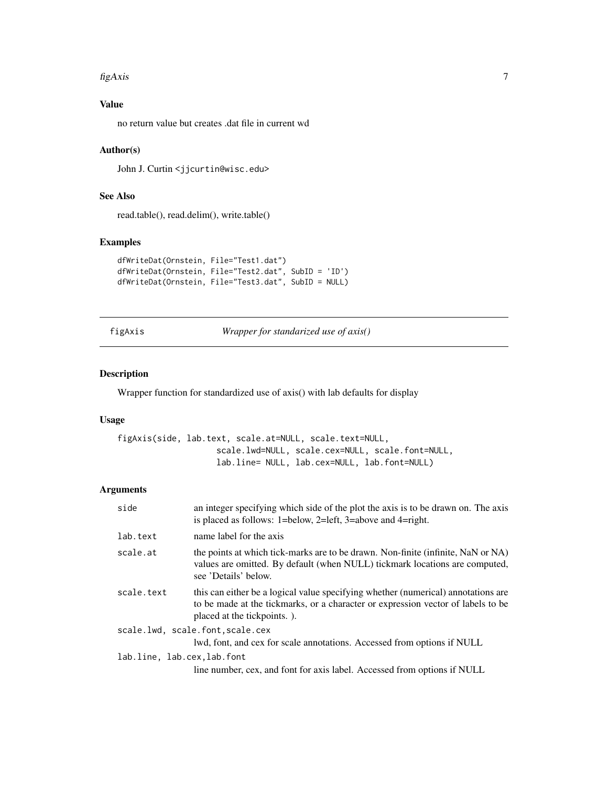#### <span id="page-6-0"></span> $figAxis$   $7$

### Value

no return value but creates .dat file in current wd

### Author(s)

John J. Curtin <jjcurtin@wisc.edu>

### See Also

read.table(), read.delim(), write.table()

### Examples

```
dfWriteDat(Ornstein, File="Test1.dat")
dfWriteDat(Ornstein, File="Test2.dat", SubID = 'ID')
dfWriteDat(Ornstein, File="Test3.dat", SubID = NULL)
```
figAxis *Wrapper for standarized use of axis()*

#### Description

Wrapper function for standardized use of axis() with lab defaults for display

### Usage

figAxis(side, lab.text, scale.at=NULL, scale.text=NULL, scale.lwd=NULL, scale.cex=NULL, scale.font=NULL, lab.line= NULL, lab.cex=NULL, lab.font=NULL)

#### Arguments

| side                       | an integer specifying which side of the plot the axis is to be drawn on. The axis<br>is placed as follows: 1=below, 2=left, 3=above and 4=right.                                                     |
|----------------------------|------------------------------------------------------------------------------------------------------------------------------------------------------------------------------------------------------|
| lab.text                   | name label for the axis                                                                                                                                                                              |
| scale.at                   | the points at which tick-marks are to be drawn. Non-finite (infinite, NaN or NA)<br>values are omitted. By default (when NULL) tickmark locations are computed,<br>see 'Details' below.              |
| scale.text                 | this can either be a logical value specifying whether (numerical) annotations are<br>to be made at the tickmarks, or a character or expression vector of labels to be<br>placed at the tickpoints.). |
|                            | scale.lwd, scale.font, scale.cex                                                                                                                                                                     |
|                            | lwd, font, and cex for scale annotations. Accessed from options if NULL                                                                                                                              |
| lab.line, lab.cex.lab.font |                                                                                                                                                                                                      |
|                            | line number, cex, and font for axis label. Accessed from options if NULL                                                                                                                             |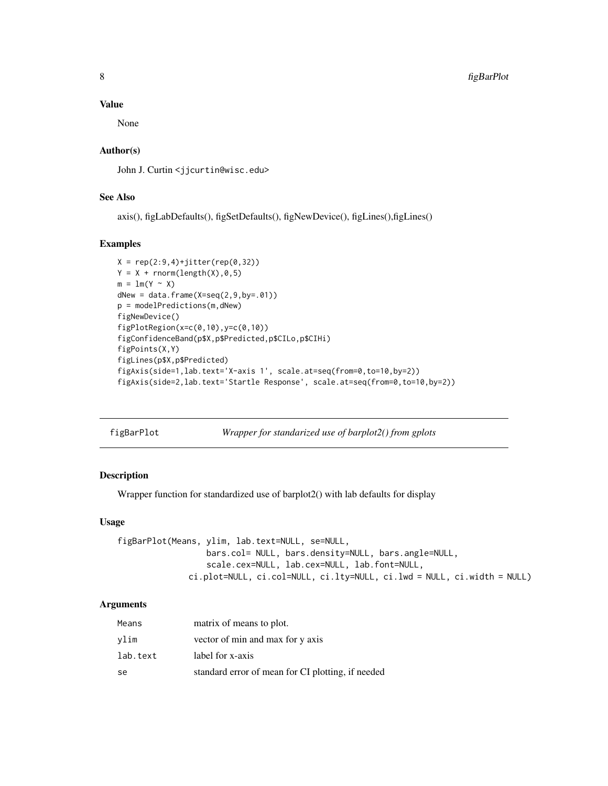#### Value

None

### Author(s)

John J. Curtin <jjcurtin@wisc.edu>

### See Also

axis(), figLabDefaults(), figSetDefaults(), figNewDevice(), figLines(),figLines()

### Examples

```
X = rep(2:9,4)+jitter(rep(0,32))Y = X + rnorm(length(X), 0, 5)m = lm(Y \sim X)dNew = data.frame(X=seq(2, 9, by=.01))p = modelPredictions(m,dNew)
figNewDevice()
figPlotRegion(x=c(0,10),y=c(0,10))
figConfidenceBand(p$X,p$Predicted,p$CILo,p$CIHi)
figPoints(X,Y)
figLines(p$X,p$Predicted)
figAxis(side=1,lab.text='X-axis 1', scale.at=seq(from=0,to=10,by=2))
figAxis(side=2,lab.text='Startle Response', scale.at=seq(from=0,to=10,by=2))
```

| figBarPlot |  |  |
|------------|--|--|
|            |  |  |

*Wrapper for standarized use of barplot2() from gplots* 

### Description

Wrapper function for standardized use of barplot2() with lab defaults for display

#### Usage

figBarPlot(Means, ylim, lab.text=NULL, se=NULL, bars.col= NULL, bars.density=NULL, bars.angle=NULL, scale.cex=NULL, lab.cex=NULL, lab.font=NULL, ci.plot=NULL, ci.col=NULL, ci.lty=NULL, ci.lwd = NULL, ci.width = NULL)

#### Arguments

| Means    | matrix of means to plot.                          |
|----------|---------------------------------------------------|
| vlim     | vector of min and max for y axis                  |
| lab.text | label for x-axis                                  |
| se       | standard error of mean for CI plotting, if needed |

<span id="page-7-0"></span>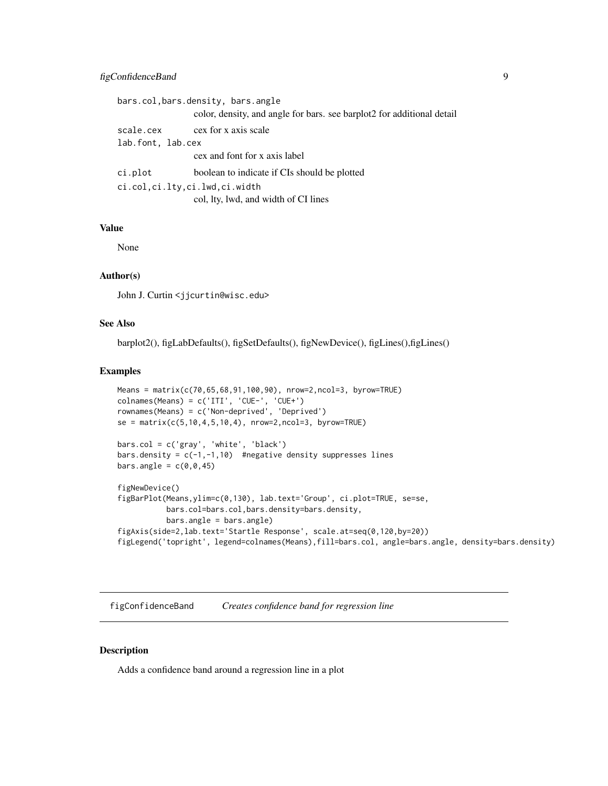### <span id="page-8-0"></span>figConfidenceBand 9

```
bars.col,bars.density, bars.angle
                 color, density, and angle for bars. see barplot2 for additional detail
scale.cex cex for x axis scale
lab.font, lab.cex
                 cex and font for x axis label
ci.plot boolean to indicate if CIs should be plotted
ci.col,ci.lty,ci.lwd,ci.width
                 col, lty, lwd, and width of CI lines
```
### Value

None

### Author(s)

John J. Curtin <jjcurtin@wisc.edu>

### See Also

barplot2(), figLabDefaults(), figSetDefaults(), figNewDevice(), figLines(),figLines()

#### Examples

```
Means = matrix(c(70,65,68,91,100,90), nrow=2,ncol=3, byrow=TRUE)
colnames(Means) = c('ITI', 'CUE-', 'CUE+')rownames(Means) = c('Non-deprived', 'Deprived')
se = matrix(c(5, 10, 4, 5, 10, 4), nrow=2, ncol=3, by row=TRUE)bars.col = c('gray', 'white', 'black')
bars.density = c(-1, -1, 10) #negative density suppresses lines
bars.angle = c(0, 0, 45)figNewDevice()
figBarPlot(Means,ylim=c(0,130), lab.text='Group', ci.plot=TRUE, se=se,
           bars.col=bars.col,bars.density=bars.density,
           bars.angle = bars.angle)
```

```
figAxis(side=2,lab.text='Startle Response', scale.at=seq(0,120,by=20))
figLegend('topright', legend=colnames(Means),fill=bars.col, angle=bars.angle, density=bars.density)
```
figConfidenceBand *Creates confidence band for regression line*

### Description

Adds a confidence band around a regression line in a plot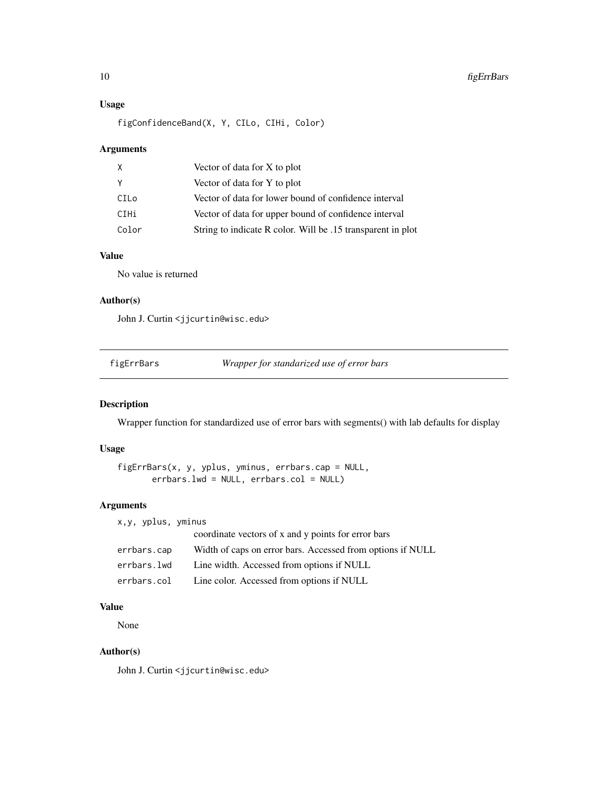### Usage

figConfidenceBand(X, Y, CILo, CIHi, Color)

### Arguments

| X     | Vector of data for X to plot                                |
|-------|-------------------------------------------------------------|
| Y     | Vector of data for Y to plot                                |
| CILo  | Vector of data for lower bound of confidence interval       |
| CIHi  | Vector of data for upper bound of confidence interval       |
| Color | String to indicate R color. Will be .15 transparent in plot |

### Value

No value is returned

### Author(s)

John J. Curtin <jjcurtin@wisc.edu>

figErrBars *Wrapper for standarized use of error bars*

### Description

Wrapper function for standardized use of error bars with segments() with lab defaults for display

### Usage

```
figErrBars(x, y, yplus, yminus, errbars.cap = NULL,
       errbars.lwd = NULL, errbars.col = NULL)
```
#### Arguments

| x,y, yplus, yminus |                                                            |
|--------------------|------------------------------------------------------------|
|                    | coordinate vectors of x and y points for error bars        |
| errbars.cap        | Width of caps on error bars. Accessed from options if NULL |
| errbars.lwd        | Line width. Accessed from options if NULL                  |
| errbars.col        | Line color. Accessed from options if NULL                  |

### Value

None

### Author(s)

John J. Curtin <jjcurtin@wisc.edu>

<span id="page-9-0"></span>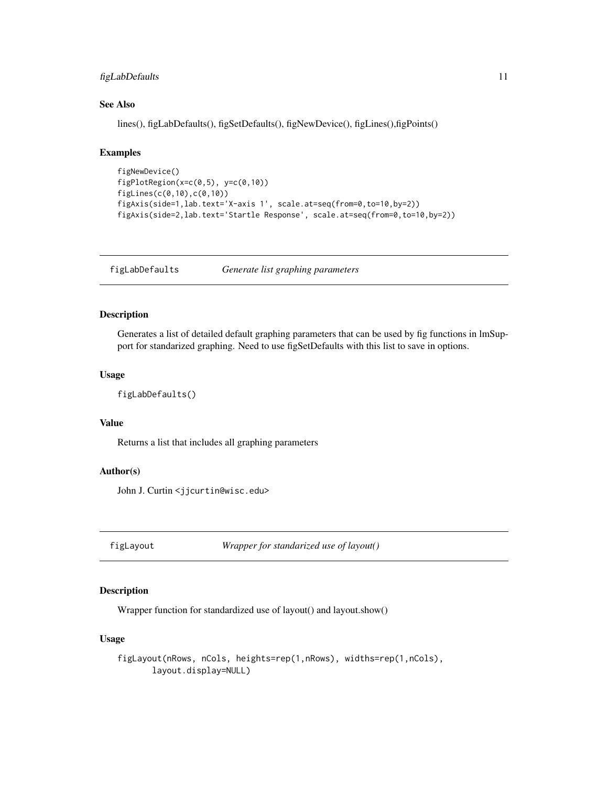### <span id="page-10-0"></span>figLabDefaults 11

### See Also

lines(), figLabDefaults(), figSetDefaults(), figNewDevice(), figLines(),figPoints()

### Examples

```
figNewDevice()
figPlotRegion(x=c(0,5), y=c(0,10))
figLines(c(0,10),c(0,10))
figAxis(side=1,lab.text='X-axis 1', scale.at=seq(from=0,to=10,by=2))
figAxis(side=2,lab.text='Startle Response', scale.at=seq(from=0,to=10,by=2))
```
figLabDefaults *Generate list graphing parameters*

#### Description

Generates a list of detailed default graphing parameters that can be used by fig functions in lmSupport for standarized graphing. Need to use figSetDefaults with this list to save in options.

#### Usage

```
figLabDefaults()
```
### Value

Returns a list that includes all graphing parameters

### Author(s)

John J. Curtin <jjcurtin@wisc.edu>

figLayout *Wrapper for standarized use of layout()*

### Description

Wrapper function for standardized use of layout() and layout.show()

#### Usage

figLayout(nRows, nCols, heights=rep(1,nRows), widths=rep(1,nCols), layout.display=NULL)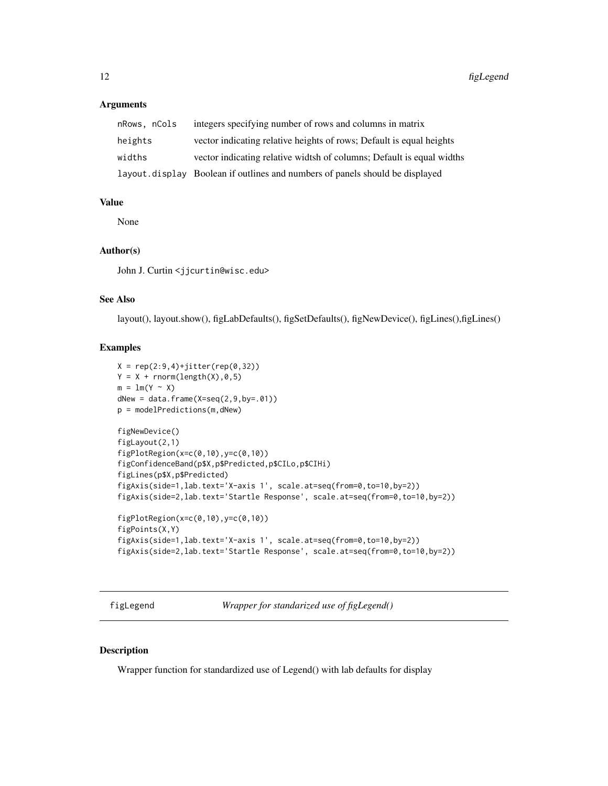#### <span id="page-11-0"></span>**Arguments**

| nRows, nCols | integers specifying number of rows and columns in matrix                     |
|--------------|------------------------------------------------------------------------------|
| heights      | vector indicating relative heights of rows; Default is equal heights         |
| widths       | vector indicating relative widtsh of columns; Default is equal widths        |
|              | layout.display Boolean if outlines and numbers of panels should be displayed |

#### Value

None

#### Author(s)

John J. Curtin <jjcurtin@wisc.edu>

#### See Also

layout(), layout.show(), figLabDefaults(), figSetDefaults(), figNewDevice(), figLines(),figLines()

#### Examples

```
X = rep(2:9,4)+jitter(rep(0,32))Y = X + \text{norm}(\text{length}(X), 0, 5)m = lm(Y \sim X)dNew = data.frame(X=seq(2, 9, by=.01))p = modelPredictions(m,dNew)
figNewDevice()
figLayout(2,1)
figPlotRegion(x=c(0,10),y=c(0,10))
figConfidenceBand(p$X,p$Predicted,p$CILo,p$CIHi)
figLines(p$X,p$Predicted)
figAxis(side=1,lab.text='X-axis 1', scale.at=seq(from=0,to=10,by=2))
figAxis(side=2,lab.text='Startle Response', scale.at=seq(from=0,to=10,by=2))
figPlotRegion(x=c(0,10),y=c(0,10))
figPoints(X,Y)
figAxis(side=1,lab.text='X-axis 1', scale.at=seq(from=0,to=10,by=2))
figAxis(side=2,lab.text='Startle Response', scale.at=seq(from=0,to=10,by=2))
```
figLegend *Wrapper for standarized use of figLegend()*

#### Description

Wrapper function for standardized use of Legend() with lab defaults for display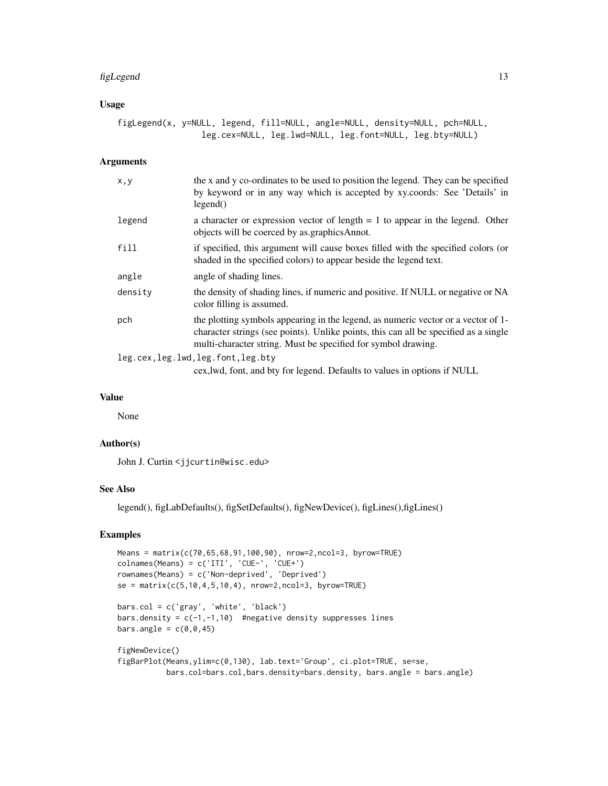#### figLegend 13

### Usage

figLegend(x, y=NULL, legend, fill=NULL, angle=NULL, density=NULL, pch=NULL, leg.cex=NULL, leg.lwd=NULL, leg.font=NULL, leg.bty=NULL)

#### Arguments

| x, y                                | the x and y co-ordinates to be used to position the legend. They can be specified<br>by keyword or in any way which is accepted by xy.coords: See 'Details' in<br>legend()                                                                 |
|-------------------------------------|--------------------------------------------------------------------------------------------------------------------------------------------------------------------------------------------------------------------------------------------|
| legend                              | a character or expression vector of length $= 1$ to appear in the legend. Other<br>objects will be coerced by as.graphicsAnnot.                                                                                                            |
| fill                                | if specified, this argument will cause boxes filled with the specified colors (or<br>shaded in the specified colors) to appear beside the legend text.                                                                                     |
| angle                               | angle of shading lines.                                                                                                                                                                                                                    |
| density                             | the density of shading lines, if numeric and positive. If NULL or negative or NA<br>color filling is assumed.                                                                                                                              |
| pch                                 | the plotting symbols appearing in the legend, as numeric vector or a vector of 1-<br>character strings (see points). Unlike points, this can all be specified as a single<br>multi-character string. Must be specified for symbol drawing. |
| leg.cex, leg.lwd, leg.font, leg.bty |                                                                                                                                                                                                                                            |
|                                     | cex, lwd, font, and bty for legend. Defaults to values in options if NULL                                                                                                                                                                  |

### Value

None

### Author(s)

John J. Curtin <jjcurtin@wisc.edu>

### See Also

legend(), figLabDefaults(), figSetDefaults(), figNewDevice(), figLines(),figLines()

```
Means = matrix(c(70,65,68,91,100,90), nrow=2,ncol=3, byrow=TRUE)
colnames(Means) = c('ITI', 'CUE-', 'CUE+')
rownames(Means) = c('Non-deprived', 'Deprived')
se = matrix(c(5, 10, 4, 5, 10, 4), nrow=2, ncol=3, by row=TRUE)bars.col = c('gray', 'white', 'black')
bars.density = c(-1, -1, 10) #negative density suppresses lines
bars.angle = c(\theta, \theta, 45)figNewDevice()
figBarPlot(Means,ylim=c(0,130), lab.text='Group', ci.plot=TRUE, se=se,
```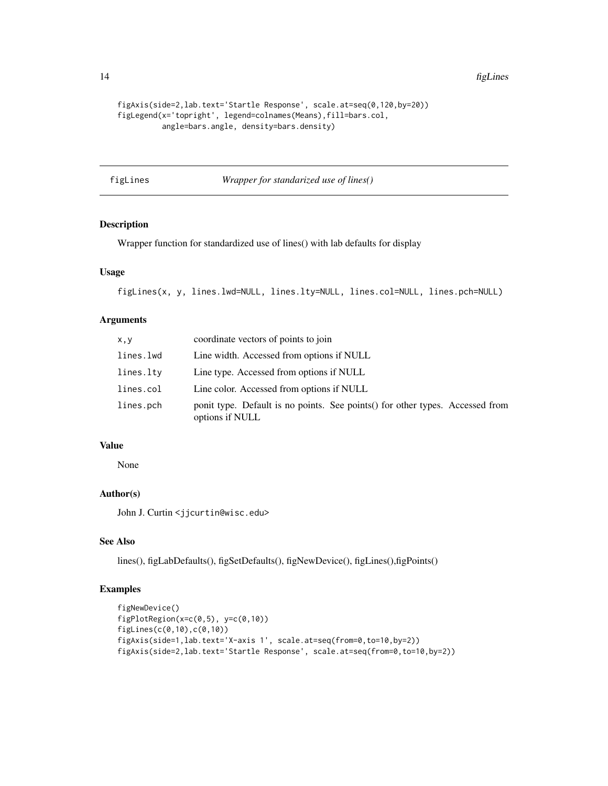14 figLines

```
figAxis(side=2,lab.text='Startle Response', scale.at=seq(0,120,by=20))
figLegend(x='topright', legend=colnames(Means),fill=bars.col,
         angle=bars.angle, density=bars.density)
```
figLines *Wrapper for standarized use of lines()*

### Description

Wrapper function for standardized use of lines() with lab defaults for display

#### Usage

figLines(x, y, lines.lwd=NULL, lines.lty=NULL, lines.col=NULL, lines.pch=NULL)

#### Arguments

| x, y      | coordinate vectors of points to join                                                              |
|-----------|---------------------------------------------------------------------------------------------------|
| lines.lwd | Line width. Accessed from options if NULL                                                         |
| lines.lty | Line type. Accessed from options if NULL                                                          |
| lines.col | Line color. Accessed from options if NULL                                                         |
| lines.pch | ponit type. Default is no points. See points () for other types. Accessed from<br>options if NULL |

### Value

None

### Author(s)

John J. Curtin <jjcurtin@wisc.edu>

#### See Also

lines(), figLabDefaults(), figSetDefaults(), figNewDevice(), figLines(),figPoints()

```
figNewDevice()
figPlotRegion(x=c(0,5), y=c(0,10))
figLines(c(0,10),c(0,10))
figAxis(side=1,lab.text='X-axis 1', scale.at=seq(from=0,to=10,by=2))
figAxis(side=2,lab.text='Startle Response', scale.at=seq(from=0,to=10,by=2))
```
<span id="page-13-0"></span>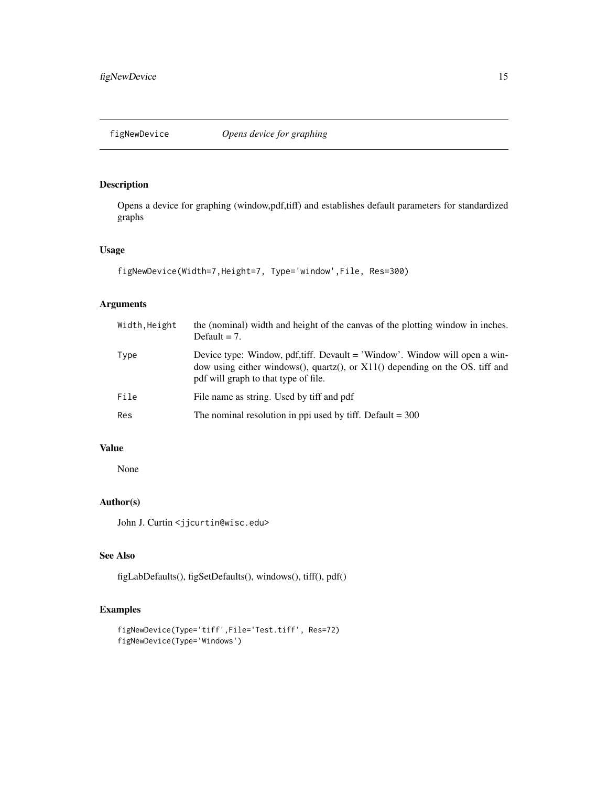<span id="page-14-0"></span>

Opens a device for graphing (window,pdf,tiff) and establishes default parameters for standardized graphs

### Usage

```
figNewDevice(Width=7,Height=7, Type='window',File, Res=300)
```
### Arguments

| Width, Height | the (nominal) width and height of the canvas of the plotting window in inches.<br>Default $= 7$ .                                                                                                    |
|---------------|------------------------------------------------------------------------------------------------------------------------------------------------------------------------------------------------------|
| Type          | Device type: Window, pdf,tiff. Devault = 'Window'. Window will open a win-<br>dow using either windows(), quartz(), or $X11()$ depending on the OS. tiff and<br>pdf will graph to that type of file. |
| File          | File name as string. Used by tiff and pdf                                                                                                                                                            |
| Res           | The nominal resolution in ppi used by tiff. Default $=$ 300                                                                                                                                          |

### Value

None

### Author(s)

John J. Curtin <jjcurtin@wisc.edu>

### See Also

figLabDefaults(), figSetDefaults(), windows(), tiff(), pdf()

```
figNewDevice(Type='tiff',File='Test.tiff', Res=72)
figNewDevice(Type='Windows')
```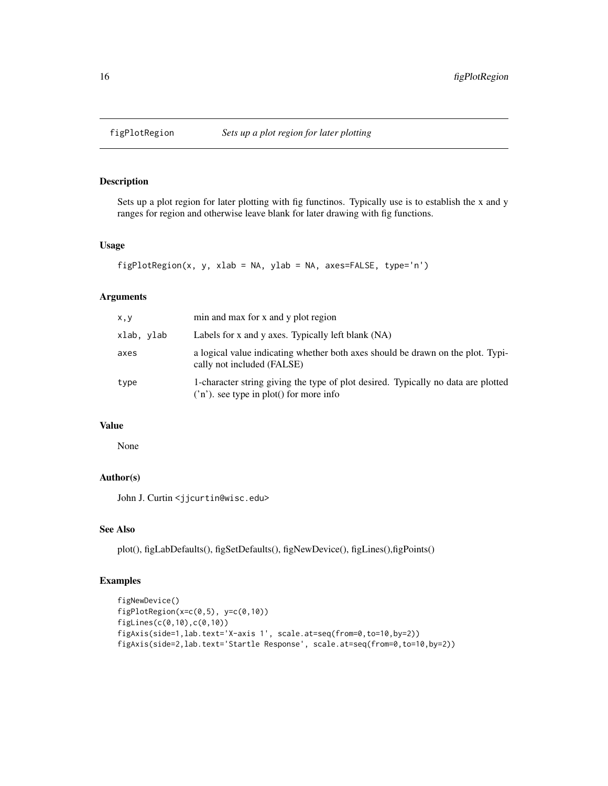Sets up a plot region for later plotting with fig functinos. Typically use is to establish the x and y ranges for region and otherwise leave blank for later drawing with fig functions.

### Usage

```
figPlotRegion(x, y, xlab = NA, ylab = NA, axes=FALSE, type='n')
```
### Arguments

| x, y       | min and max for x and y plot region                                                                                          |
|------------|------------------------------------------------------------------------------------------------------------------------------|
| xlab, ylab | Labels for x and y axes. Typically left blank (NA)                                                                           |
| axes       | a logical value indicating whether both axes should be drawn on the plot. Typi-<br>cally not included (FALSE)                |
| type       | 1-character string giving the type of plot desired. Typically no data are plotted<br>('n'). see type in plot() for more info |

### Value

None

### Author(s)

John J. Curtin <jjcurtin@wisc.edu>

### See Also

plot(), figLabDefaults(), figSetDefaults(), figNewDevice(), figLines(),figPoints()

```
figNewDevice()
figPlotRegion(x=c(0,5), y=c(0,10))
figLines(c(0,10),c(0,10))
figAxis(side=1,lab.text='X-axis 1', scale.at=seq(from=0,to=10,by=2))
figAxis(side=2,lab.text='Startle Response', scale.at=seq(from=0,to=10,by=2))
```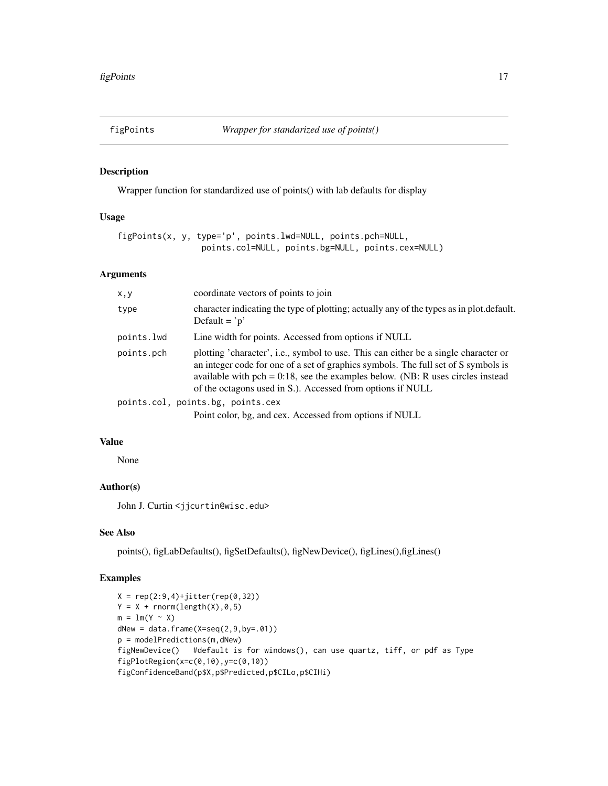<span id="page-16-0"></span>

Wrapper function for standardized use of points() with lab defaults for display

#### Usage

```
figPoints(x, y, type='p', points.lwd=NULL, points.pch=NULL,
                 points.col=NULL, points.bg=NULL, points.cex=NULL)
```
#### Arguments

| x, y       | coordinate vectors of points to join                                                                                                                                                                                                                                                                                         |
|------------|------------------------------------------------------------------------------------------------------------------------------------------------------------------------------------------------------------------------------------------------------------------------------------------------------------------------------|
| type       | character indicating the type of plotting; actually any of the types as in plot.default.<br>Default = $\dot{p}$                                                                                                                                                                                                              |
| points.lwd | Line width for points. Accessed from options if NULL                                                                                                                                                                                                                                                                         |
| points.pch | plotting 'character', i.e., symbol to use. This can either be a single character or<br>an integer code for one of a set of graphics symbols. The full set of S symbols is<br>available with pch = $0.18$ , see the examples below. (NB: R uses circles instead<br>of the octagons used in S.). Accessed from options if NULL |
|            | points.col, points.bg, points.cex                                                                                                                                                                                                                                                                                            |
|            | Point color, bg, and cex. Accessed from options if NULL                                                                                                                                                                                                                                                                      |

### Value

None

#### Author(s)

John J. Curtin <jjcurtin@wisc.edu>

### See Also

points(), figLabDefaults(), figSetDefaults(), figNewDevice(), figLines(),figLines()

```
X = rep(2:9,4)+jitter(rep(0,32))Y = X + \text{norm}(\text{length}(X), 0, 5)m = lm(Y \sim X)dNew = data.frame(X=seq(2, 9, by=.01))p = modelPredictions(m,dNew)
figNewDevice() #default is for windows(), can use quartz, tiff, or pdf as Type
figPlotRegion(x=c(0,10),y=c(0,10))
figConfidenceBand(p$X,p$Predicted,p$CILo,p$CIHi)
```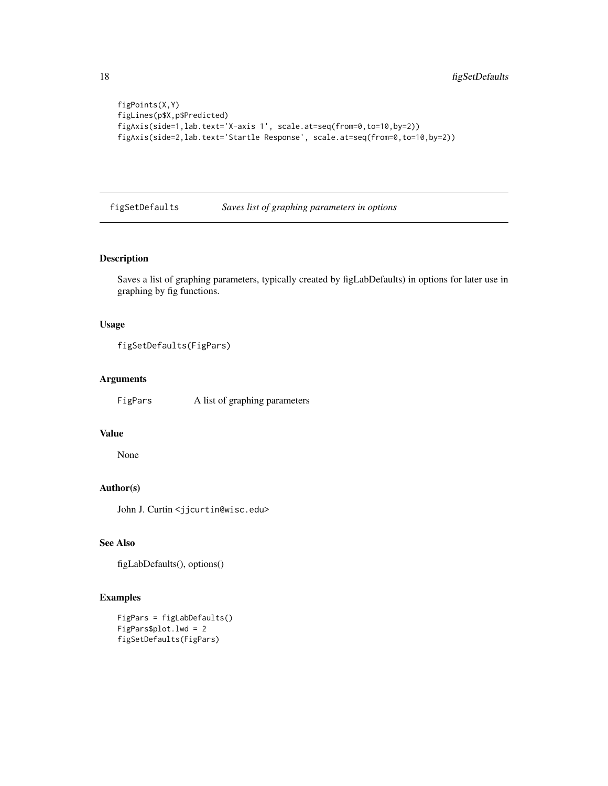```
figPoints(X,Y)
figLines(p$X,p$Predicted)
figAxis(side=1,lab.text='X-axis 1', scale.at=seq(from=0,to=10,by=2))
figAxis(side=2,lab.text='Startle Response', scale.at=seq(from=0,to=10,by=2))
```
figSetDefaults *Saves list of graphing parameters in options*

#### Description

Saves a list of graphing parameters, typically created by figLabDefaults) in options for later use in graphing by fig functions.

#### Usage

```
figSetDefaults(FigPars)
```
#### Arguments

FigPars A list of graphing parameters

### Value

None

### Author(s)

John J. Curtin <jjcurtin@wisc.edu>

### See Also

```
figLabDefaults(), options()
```

```
FigPars = figLabDefaults()
FigPars$plot.lwd = 2
figSetDefaults(FigPars)
```
<span id="page-17-0"></span>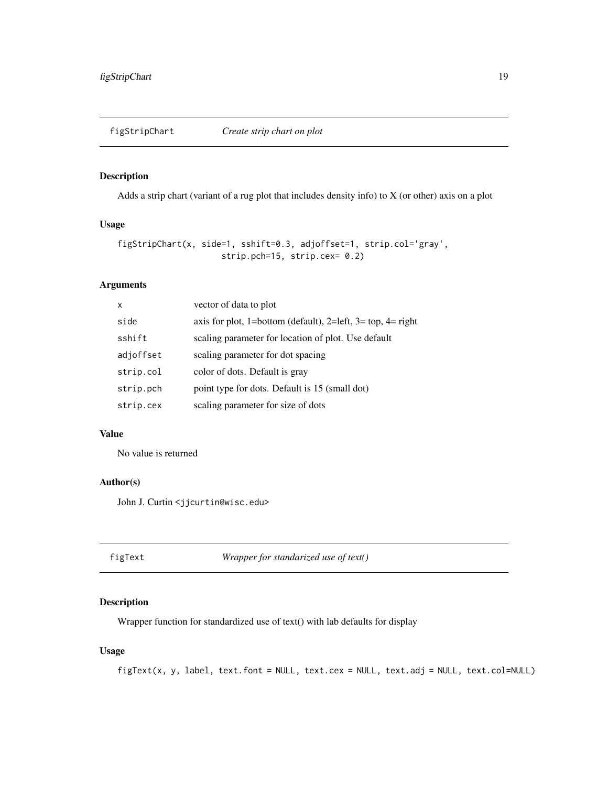<span id="page-18-1"></span><span id="page-18-0"></span>figStripChart *Create strip chart on plot*

### Description

Adds a strip chart (variant of a rug plot that includes density info) to X (or other) axis on a plot

### Usage

```
figStripChart(x, side=1, sshift=0.3, adjoffset=1, strip.col='gray',
                     strip.pch=15, strip.cex= 0.2)
```
### Arguments

| X         | vector of data to plot                                      |
|-----------|-------------------------------------------------------------|
| side      | axis for plot, 1=bottom (default), 2=left, 3= top, 4= right |
| sshift    | scaling parameter for location of plot. Use default         |
| adjoffset | scaling parameter for dot spacing                           |
| strip.col | color of dots. Default is gray                              |
| strip.pch | point type for dots. Default is 15 (small dot)              |
| strip.cex | scaling parameter for size of dots                          |

### Value

No value is returned

### Author(s)

John J. Curtin <jjcurtin@wisc.edu>

figText *Wrapper for standarized use of text()*

#### Description

Wrapper function for standardized use of text() with lab defaults for display

### Usage

```
figText(x, y, label, text.font = NULL, text.cex = NULL, text.adj = NULL, text.col=NULL)
```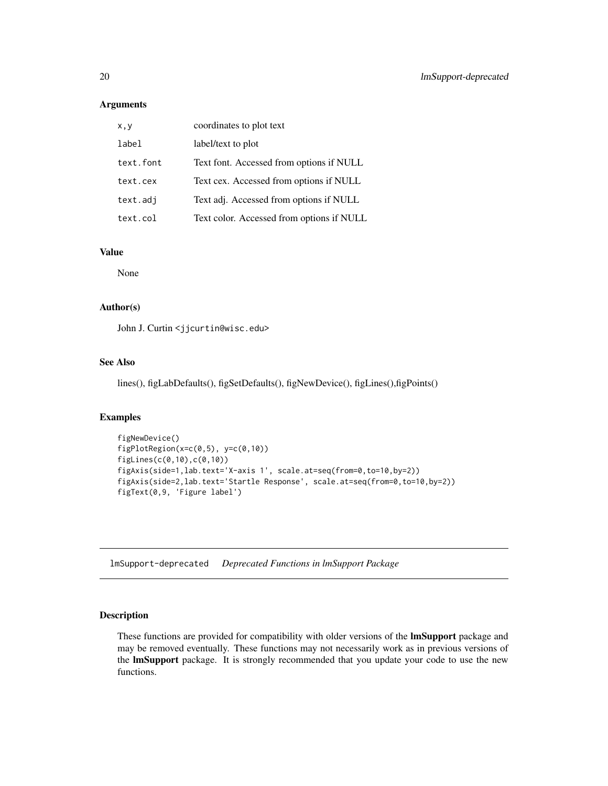#### Arguments

| x, y      | coordinates to plot text                  |
|-----------|-------------------------------------------|
| label     | label/text to plot                        |
| text.font | Text font. Accessed from options if NULL  |
| text.cex  | Text cex. Accessed from options if NULL   |
| text.adj  | Text adj. Accessed from options if NULL   |
| text.col  | Text color. Accessed from options if NULL |

### Value

None

### Author(s)

John J. Curtin <jjcurtin@wisc.edu>

#### See Also

lines(), figLabDefaults(), figSetDefaults(), figNewDevice(), figLines(),figPoints()

### Examples

```
figNewDevice()
figPlotRegion(x=c(0,5), y=c(0,10))
figLines(c(0,10),c(0,10))
figAxis(side=1,lab.text='X-axis 1', scale.at=seq(from=0,to=10,by=2))
figAxis(side=2,lab.text='Startle Response', scale.at=seq(from=0,to=10,by=2))
figText(0,9, 'Figure label')
```
lmSupport-deprecated *Deprecated Functions in lmSupport Package*

#### Description

These functions are provided for compatibility with older versions of the **lmSupport** package and may be removed eventually. These functions may not necessarily work as in previous versions of the lmSupport package. It is strongly recommended that you update your code to use the new functions.

<span id="page-19-0"></span>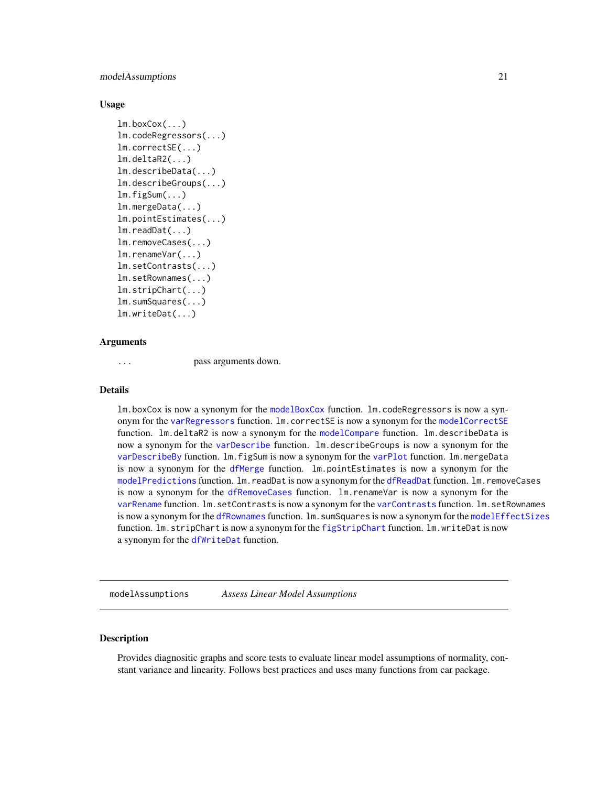<span id="page-20-0"></span>modelAssumptions 21

#### Usage

```
lm.boxCox(...)
lm.codeRegressors(...)
lm.correctSE(...)
lm.deltaR2(...)
lm.describeData(...)
lm.describeGroups(...)
lm.figSum(...)
lm.mergeData(...)
lm.pointEstimates(...)
lm.readDat(...)
lm.removeCases(...)
lm.renameVar(...)
lm.setContrasts(...)
lm.setRownames(...)
lm.stripChart(...)
lm.sumSquares(...)
lm.writeDat(...)
```
### Arguments

```
... pass arguments down.
```
#### Details

lm.boxCox is now a synonym for the [modelBoxCox](#page-21-1) function. lm.codeRegressors is now a synonym for the [varRegressors](#page-37-1) function. lm.correctSE is now a synonym for the [modelCorrectSE](#page-24-1) function. lm.deltaR2 is now a synonym for the [modelCompare](#page-23-1) function. lm.describeData is now a synonym for the [varDescribe](#page-32-1) function. lm.describeGroups is now a synonym for the [varDescribeBy](#page-33-1) function. lm.figSum is now a synonym for the [varPlot](#page-35-1) function. lm.mergeData is now a synonym for the [dfMerge](#page-1-1) function. lm.pointEstimates is now a synonym for the [modelPredictions](#page-27-1) function. lm.readDat is now a synonym for the [dfReadDat](#page-3-1) function. lm.removeCases is now a synonym for the [dfRemoveCases](#page-4-1) function. lm.renameVar is now a synonym for the [varRename](#page-38-1) function. lm.setContrasts is now a synonym for the [varContrasts](#page-31-1) function. lm.setRownames is now a synonym for the [dfRownames](#page-4-2) function. lm. sumSquares is now a synonym for the [modelEffectSizes](#page-25-1) function. lm.stripChart is now a synonym for the [figStripChart](#page-18-1) function. lm.writeDat is now a synonym for the [dfWriteDat](#page-5-1) function.

modelAssumptions *Assess Linear Model Assumptions*

#### Description

Provides diagnositic graphs and score tests to evaluate linear model assumptions of normality, constant variance and linearity. Follows best practices and uses many functions from car package.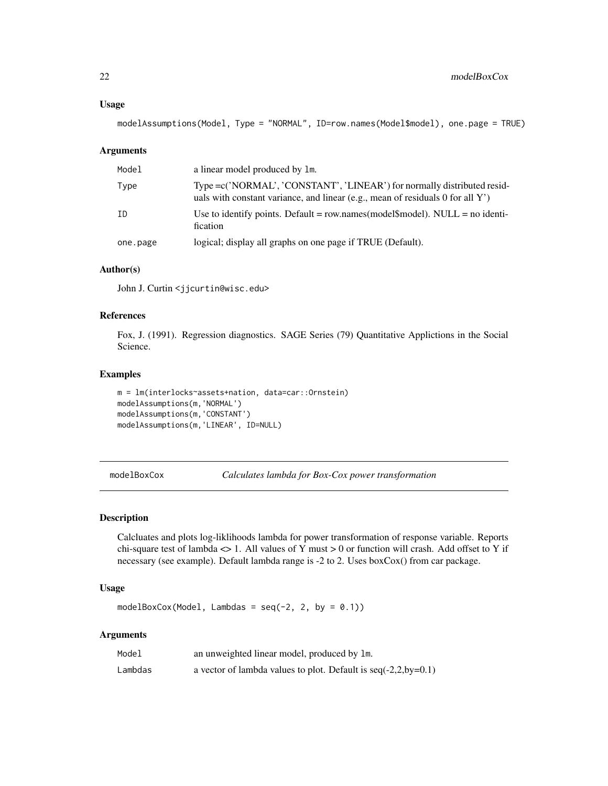#### <span id="page-21-0"></span>Usage

```
modelAssumptions(Model, Type = "NORMAL", ID=row.names(Model$model), one.page = TRUE)
```
#### Arguments

| Model    | a linear model produced by 1m.                                                                                                                             |
|----------|------------------------------------------------------------------------------------------------------------------------------------------------------------|
| Type     | Type = c('NORMAL', 'CONSTANT', 'LINEAR') for normally distributed resid-<br>uals with constant variance, and linear (e.g., mean of residuals 0 for all Y') |
| ID       | Use to identify points. Default = row.names(model\model\model). NULL = no identi-<br>fication                                                              |
| one.page | logical; display all graphs on one page if TRUE (Default).                                                                                                 |

### Author(s)

John J. Curtin <jjcurtin@wisc.edu>

### References

Fox, J. (1991). Regression diagnostics. SAGE Series (79) Quantitative Applictions in the Social Science.

#### Examples

```
m = lm(interlocks~assets+nation, data=car::Ornstein)
modelAssumptions(m,'NORMAL')
modelAssumptions(m,'CONSTANT')
modelAssumptions(m,'LINEAR', ID=NULL)
```
<span id="page-21-1"></span>modelBoxCox *Calculates lambda for Box-Cox power transformation*

### Description

Calcluates and plots log-liklihoods lambda for power transformation of response variable. Reports chi-square test of lambda  $\langle$  > 1. All values of Y must > 0 or function will crash. Add offset to Y if necessary (see example). Default lambda range is -2 to 2. Uses boxCox() from car package.

### Usage

```
modelBoxCox(Model, Lambdas = seq(-2, 2, by = 0.1))
```
#### Arguments

| Model   | an unweighted linear model, produced by 1m.                      |
|---------|------------------------------------------------------------------|
| Lambdas | a vector of lambda values to plot. Default is $seq(-2,2,by=0.1)$ |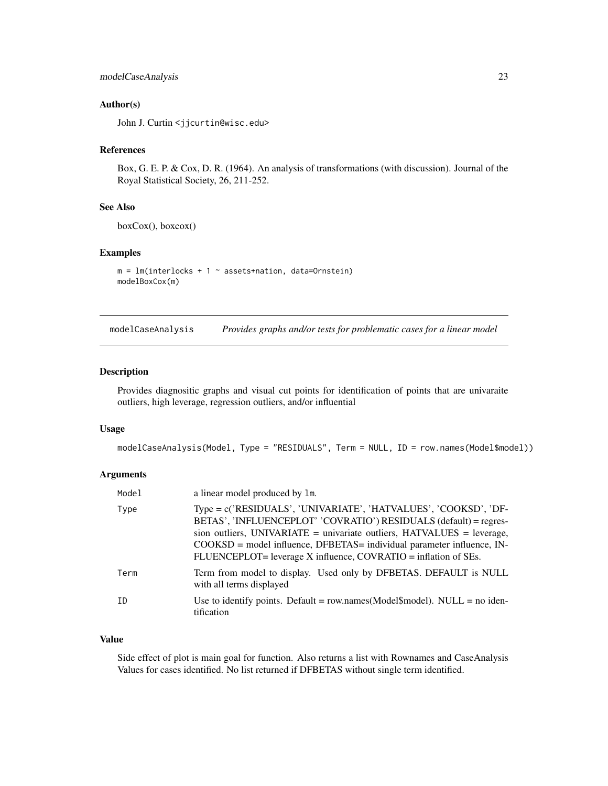### <span id="page-22-0"></span>modelCaseAnalysis 23

#### Author(s)

John J. Curtin <jjcurtin@wisc.edu>

### References

Box, G. E. P. & Cox, D. R. (1964). An analysis of transformations (with discussion). Journal of the Royal Statistical Society, 26, 211-252.

### See Also

boxCox(), boxcox()

#### Examples

 $m = lm(interlocks + 1 ~ ~~assertshation, data=Ornstein)$ modelBoxCox(m)

modelCaseAnalysis *Provides graphs and/or tests for problematic cases for a linear model*

### Description

Provides diagnositic graphs and visual cut points for identification of points that are univaraite outliers, high leverage, regression outliers, and/or influential

#### Usage

modelCaseAnalysis(Model, Type = "RESIDUALS", Term = NULL, ID = row.names(Model\$model))

### Arguments

| Model | a linear model produced by 1m.                                                                                                                                                                                                                                                                                                                                   |
|-------|------------------------------------------------------------------------------------------------------------------------------------------------------------------------------------------------------------------------------------------------------------------------------------------------------------------------------------------------------------------|
| Type  | Type = c('RESIDUALS', 'UNIVARIATE', 'HATVALUES', 'COOKSD', 'DF-<br>BETAS', 'INFLUENCEPLOT' 'COVRATIO') RESIDUALS (default) = regres-<br>sion outliers, UNIVARIATE = univariate outliers, $HATVALUES$ = leverage,<br>$COOKSD$ = model influence, DFBETAS = individual parameter influence, IN-<br>FLUENCEPLOT= leverage X influence, COVRATIO = inflation of SEs. |
| Term  | Term from model to display. Used only by DFBETAS. DEFAULT is NULL<br>with all terms displayed                                                                                                                                                                                                                                                                    |
| ID    | Use to identify points. Default = row.names( $Model\$ $model$ ). NULL = no iden-<br>tification                                                                                                                                                                                                                                                                   |

### Value

Side effect of plot is main goal for function. Also returns a list with Rownames and CaseAnalysis Values for cases identified. No list returned if DFBETAS without single term identified.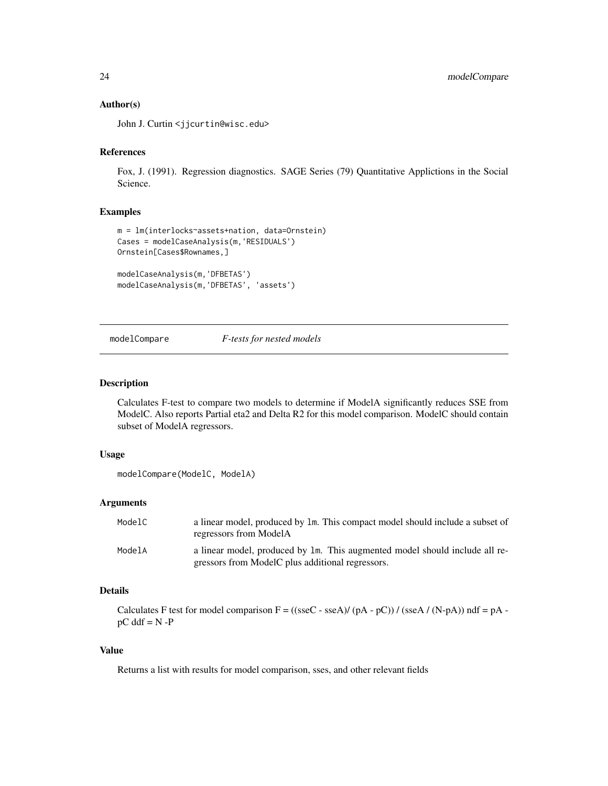#### <span id="page-23-0"></span>Author(s)

John J. Curtin <jjcurtin@wisc.edu>

### References

Fox, J. (1991). Regression diagnostics. SAGE Series (79) Quantitative Applictions in the Social Science.

#### Examples

```
m = lm(interlocks~assets+nation, data=Ornstein)
Cases = modelCaseAnalysis(m,'RESIDUALS')
Ornstein[Cases$Rownames,]
modelCaseAnalysis(m,'DFBETAS')
```

```
modelCaseAnalysis(m,'DFBETAS', 'assets')
```
### <span id="page-23-1"></span>modelCompare *F-tests for nested models*

#### Description

Calculates F-test to compare two models to determine if ModelA significantly reduces SSE from ModelC. Also reports Partial eta2 and Delta R2 for this model comparison. ModelC should contain subset of ModelA regressors.

#### Usage

```
modelCompare(ModelC, ModelA)
```
#### Arguments

| ModelC | a linear model, produced by 1m. This compact model should include a subset of<br>regressors from ModelA                         |
|--------|---------------------------------------------------------------------------------------------------------------------------------|
| ModelA | a linear model, produced by 1m. This augmented model should include all re-<br>gressors from ModelC plus additional regressors. |

### Details

Calculates F test for model comparison  $F = ((\text{sseC} - \text{sseA})/(pA - pC))/(\text{sseA}/(N-pA))$  ndf =  $pA$   $pC$  ddf =  $N - P$ 

### Value

Returns a list with results for model comparison, sses, and other relevant fields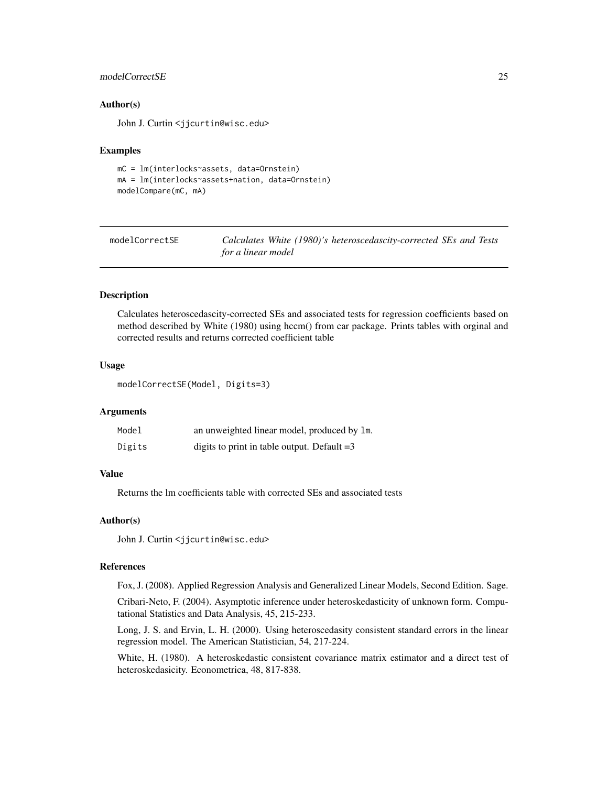### <span id="page-24-0"></span>modelCorrectSE 25

#### Author(s)

John J. Curtin <jjcurtin@wisc.edu>

#### Examples

```
mC = lm(interlocks~assets, data=Ornstein)
mA = lm(interlocks~assets+nation, data=Ornstein)
modelCompare(mC, mA)
```
<span id="page-24-1"></span>

| modelCorrectSE | Calculates White (1980)'s heteroscedascity-corrected SEs and Tests |
|----------------|--------------------------------------------------------------------|
|                | for a linear model                                                 |

#### Description

Calculates heteroscedascity-corrected SEs and associated tests for regression coefficients based on method described by White (1980) using hccm() from car package. Prints tables with orginal and corrected results and returns corrected coefficient table

### Usage

```
modelCorrectSE(Model, Digits=3)
```
#### Arguments

| Model  | an unweighted linear model, produced by 1m.   |
|--------|-----------------------------------------------|
| Digits | digits to print in table output. Default $=3$ |

#### Value

Returns the lm coefficients table with corrected SEs and associated tests

#### Author(s)

John J. Curtin <jjcurtin@wisc.edu>

#### References

Fox, J. (2008). Applied Regression Analysis and Generalized Linear Models, Second Edition. Sage.

Cribari-Neto, F. (2004). Asymptotic inference under heteroskedasticity of unknown form. Computational Statistics and Data Analysis, 45, 215-233.

Long, J. S. and Ervin, L. H. (2000). Using heteroscedasity consistent standard errors in the linear regression model. The American Statistician, 54, 217-224.

White, H. (1980). A heteroskedastic consistent covariance matrix estimator and a direct test of heteroskedasicity. Econometrica, 48, 817-838.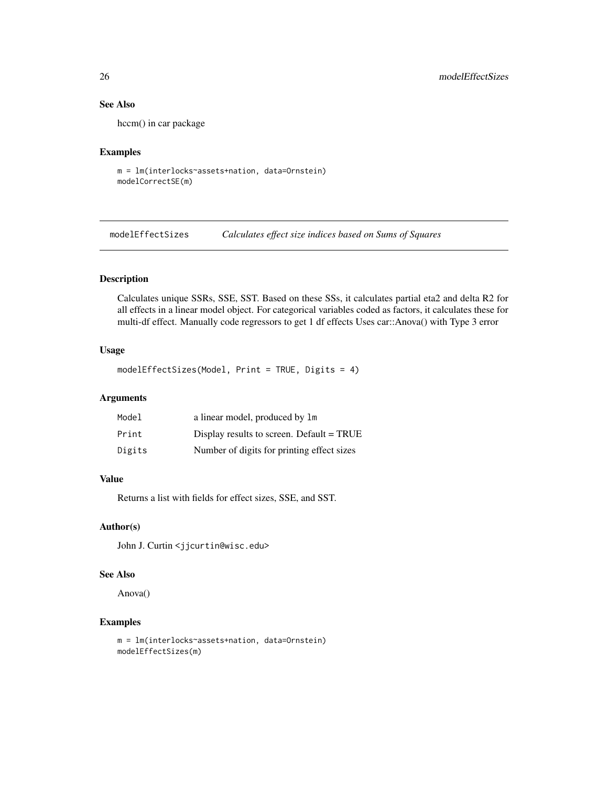### See Also

hccm() in car package

#### Examples

```
m = lm(interlocks~assets+nation, data=Ornstein)
modelCorrectSE(m)
```
<span id="page-25-1"></span>modelEffectSizes *Calculates effect size indices based on Sums of Squares*

### Description

Calculates unique SSRs, SSE, SST. Based on these SSs, it calculates partial eta2 and delta R2 for all effects in a linear model object. For categorical variables coded as factors, it calculates these for multi-df effect. Manually code regressors to get 1 df effects Uses car::Anova() with Type 3 error

#### Usage

```
modelEffectSizes(Model, Print = TRUE, Digits = 4)
```
### Arguments

| Model  | a linear model, produced by 1m              |
|--------|---------------------------------------------|
| Print  | Display results to screen. Default $= TRUE$ |
| Digits | Number of digits for printing effect sizes  |

#### Value

Returns a list with fields for effect sizes, SSE, and SST.

#### Author(s)

John J. Curtin <jjcurtin@wisc.edu>

#### See Also

Anova()

```
m = lm(interlocks~assets+nation, data=Ornstein)
modelEffectSizes(m)
```
<span id="page-25-0"></span>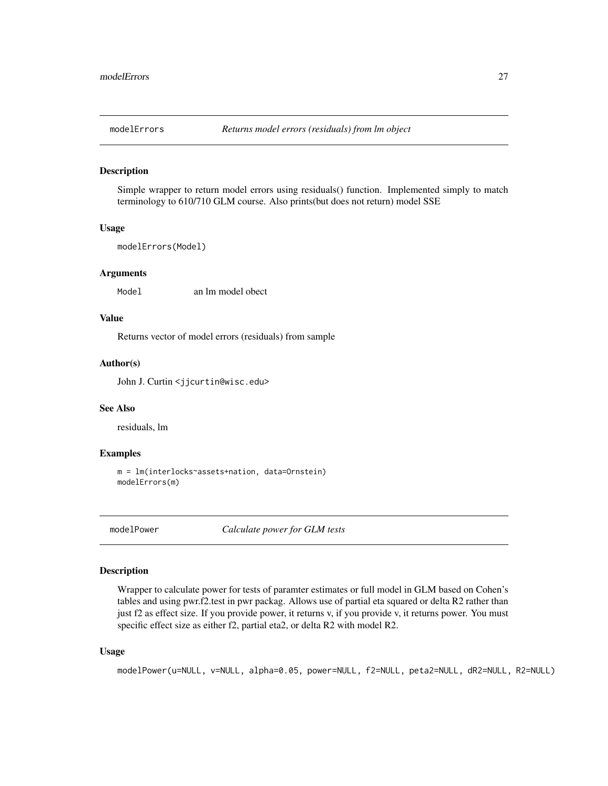<span id="page-26-0"></span>

Simple wrapper to return model errors using residuals() function. Implemented simply to match terminology to 610/710 GLM course. Also prints(but does not return) model SSE

#### Usage

```
modelErrors(Model)
```
### Arguments

Model an lm model obect

### Value

Returns vector of model errors (residuals) from sample

#### Author(s)

John J. Curtin <jjcurtin@wisc.edu>

#### See Also

residuals, lm

#### Examples

```
m = lm(interlocks~assets+nation, data=Ornstein)
modelErrors(m)
```
modelPower *Calculate power for GLM tests*

#### Description

Wrapper to calculate power for tests of paramter estimates or full model in GLM based on Cohen's tables and using pwr.f2.test in pwr packag. Allows use of partial eta squared or delta R2 rather than just f2 as effect size. If you provide power, it returns v, if you provide v, it returns power. You must specific effect size as either f2, partial eta2, or delta R2 with model R2.

#### Usage

```
modelPower(u=NULL, v=NULL, alpha=0.05, power=NULL, f2=NULL, peta2=NULL, dR2=NULL, R2=NULL)
```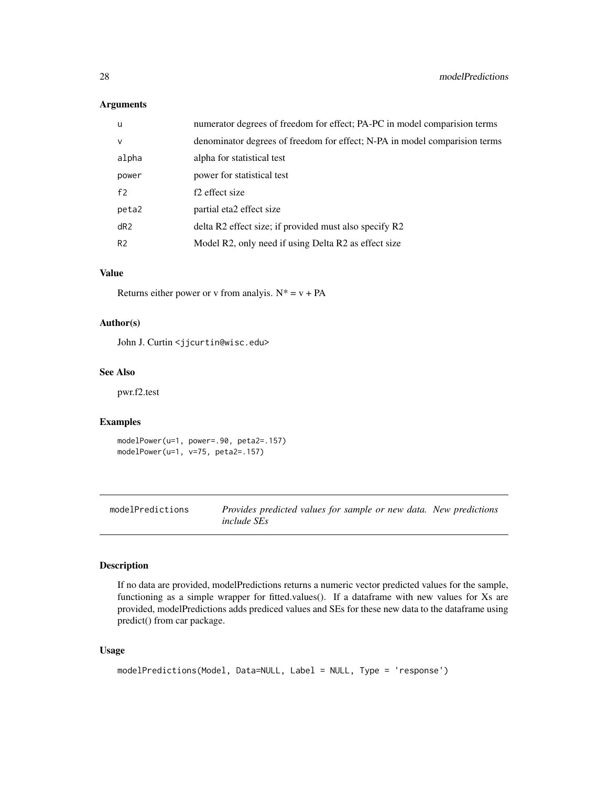### <span id="page-27-0"></span>Arguments

| u              | numerator degrees of freedom for effect; PA-PC in model comparision terms  |
|----------------|----------------------------------------------------------------------------|
| $\mathsf{V}$   | denominator degrees of freedom for effect; N-PA in model comparision terms |
| alpha          | alpha for statistical test                                                 |
| power          | power for statistical test                                                 |
| f <sub>2</sub> | f <sub>2</sub> effect size                                                 |
| peta2          | partial eta2 effect size                                                   |
| dR2            | delta R2 effect size; if provided must also specify R2                     |
| R <sub>2</sub> | Model R2, only need if using Delta R2 as effect size                       |

### Value

Returns either power or v from analyis.  $N^* = v + PA$ 

### Author(s)

John J. Curtin <jjcurtin@wisc.edu>

### See Also

pwr.f2.test

### Examples

```
modelPower(u=1, power=.90, peta2=.157)
modelPower(u=1, v=75, peta2=.157)
```
<span id="page-27-1"></span>modelPredictions *Provides predicted values for sample or new data. New predictions include SEs*

#### Description

If no data are provided, modelPredictions returns a numeric vector predicted values for the sample, functioning as a simple wrapper for fitted.values(). If a dataframe with new values for Xs are provided, modelPredictions adds prediced values and SEs for these new data to the dataframe using predict() from car package.

### Usage

```
modelPredictions(Model, Data=NULL, Label = NULL, Type = 'response')
```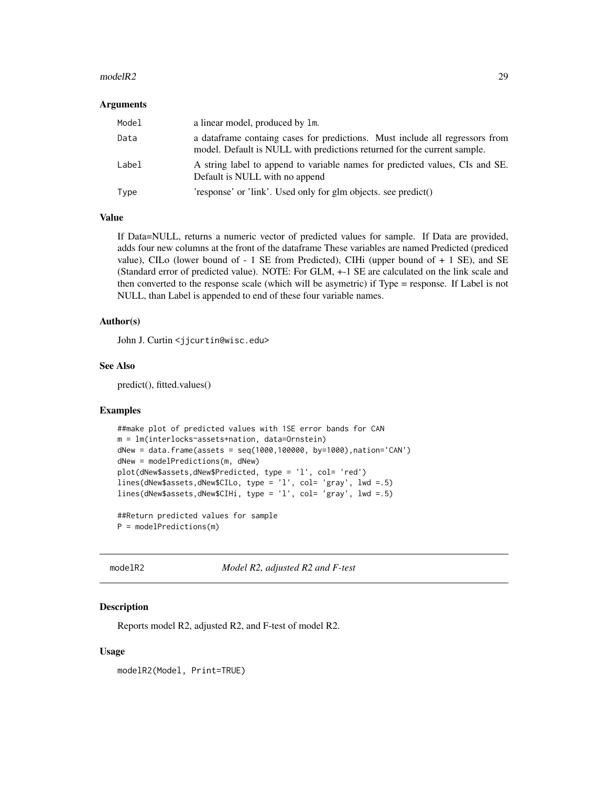#### <span id="page-28-0"></span> $\text{modelR2}$  29

#### Arguments

| Model | a linear model, produced by 1m.                                                                                                                           |
|-------|-----------------------------------------------------------------------------------------------------------------------------------------------------------|
| Data  | a data frame containg cases for predictions. Must include all regressors from<br>model. Default is NULL with predictions returned for the current sample. |
| Label | A string label to append to variable names for predicted values, CIs and SE.<br>Default is NULL with no append                                            |
| Type  | 'response' or 'link'. Used only for glm objects. see predict()                                                                                            |

### Value

If Data=NULL, returns a numeric vector of predicted values for sample. If Data are provided, adds four new columns at the front of the dataframe These variables are named Predicted (prediced value), CILo (lower bound of  $-1$  SE from Predicted), CIHi (upper bound of  $+1$  SE), and SE (Standard error of predicted value). NOTE: For GLM, +-1 SE are calculated on the link scale and then converted to the response scale (which will be asymetric) if Type = response. If Label is not NULL, than Label is appended to end of these four variable names.

#### Author(s)

John J. Curtin <jjcurtin@wisc.edu>

### See Also

predict(), fitted.values()

#### Examples

```
##make plot of predicted values with 1SE error bands for CAN
m = lm(interlocks~assets+nation, data=Ornstein)
dNew = data.frame(assets = seq(1000,100000, by=1000),nation='CAN')
dNew = modelPredictions(m, dNew)
plot(dNew$assets,dNew$Predicted, type = 'l', col= 'red')
lines(dNew$assets,dNew$CILo, type = 'l', col= 'gray', lwd =.5)
lines(dNew$assets,dNew$CIHi, type = 'l', col= 'gray', lwd =.5)
##Return predicted values for sample
```
P = modelPredictions(m)

modelR2 *Model R2, adjusted R2 and F-test*

### **Description**

Reports model R2, adjusted R2, and F-test of model R2.

#### Usage

modelR2(Model, Print=TRUE)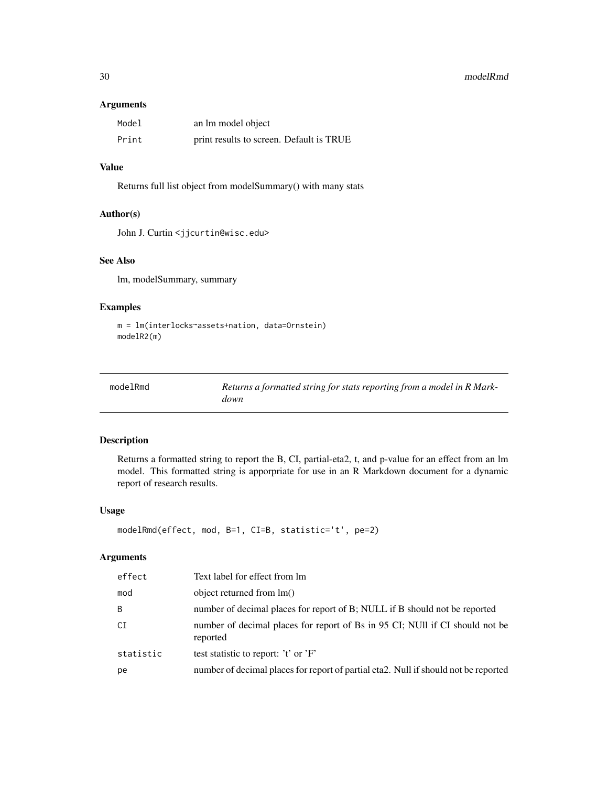#### <span id="page-29-0"></span>30 modelRmd

#### Arguments

| Model | an lm model object                       |
|-------|------------------------------------------|
| Print | print results to screen. Default is TRUE |

### Value

Returns full list object from modelSummary() with many stats

#### Author(s)

John J. Curtin <jjcurtin@wisc.edu>

### See Also

lm, modelSummary, summary

### Examples

```
m = lm(interlocks~assets+nation, data=Ornstein)
modelR2(m)
```

| modelRmd | Returns a formatted string for stats reporting from a model in R Mark- |
|----------|------------------------------------------------------------------------|
|          | down                                                                   |

### Description

Returns a formatted string to report the B, CI, partial-eta2, t, and p-value for an effect from an lm model. This formatted string is apporpriate for use in an R Markdown document for a dynamic report of research results.

#### Usage

```
modelRmd(effect, mod, B=1, CI=B, statistic='t', pe=2)
```
### Arguments

| effect    | Text label for effect from lm                                                            |
|-----------|------------------------------------------------------------------------------------------|
| mod       | object returned from $lm()$                                                              |
| B         | number of decimal places for report of B; NULL if B should not be reported               |
| CI        | number of decimal places for report of Bs in 95 CI; NUII if CI should not be<br>reported |
| statistic | test statistic to report: 't' or 'F'                                                     |
| pe        | number of decimal places for report of partial eta2. Null if should not be reported      |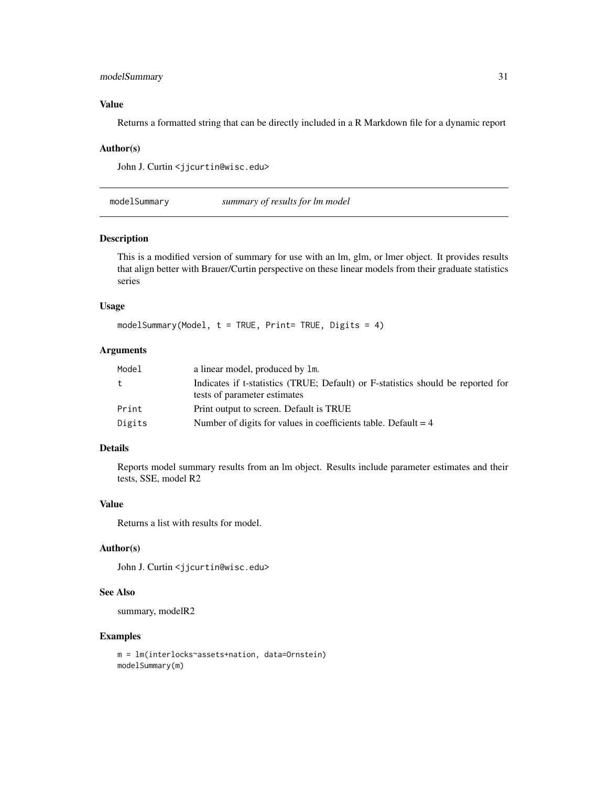### <span id="page-30-0"></span>modelSummary 31

#### Value

Returns a formatted string that can be directly included in a R Markdown file for a dynamic report

#### Author(s)

John J. Curtin <jjcurtin@wisc.edu>

modelSummary *summary of results for lm model*

#### Description

This is a modified version of summary for use with an lm, glm, or lmer object. It provides results that align better with Brauer/Curtin perspective on these linear models from their graduate statistics series

#### Usage

 $modelSummary(Model, t = TRUE, Print = TRUE, Digits = 4)$ 

#### Arguments

| t.<br>tests of parameter estimates<br>Print<br>Print output to screen. Default is TRUE<br>Number of digits for values in coefficients table. Default $= 4$<br>Digits | Model | a linear model, produced by 1m.                                                  |
|----------------------------------------------------------------------------------------------------------------------------------------------------------------------|-------|----------------------------------------------------------------------------------|
|                                                                                                                                                                      |       | Indicates if t-statistics (TRUE; Default) or F-statistics should be reported for |
|                                                                                                                                                                      |       |                                                                                  |
|                                                                                                                                                                      |       |                                                                                  |
|                                                                                                                                                                      |       |                                                                                  |

### Details

Reports model summary results from an lm object. Results include parameter estimates and their tests, SSE, model R2

#### Value

Returns a list with results for model.

### Author(s)

John J. Curtin <jjcurtin@wisc.edu>

#### See Also

summary, modelR2

```
m = lm(interlocks~assets+nation, data=Ornstein)
modelSummary(m)
```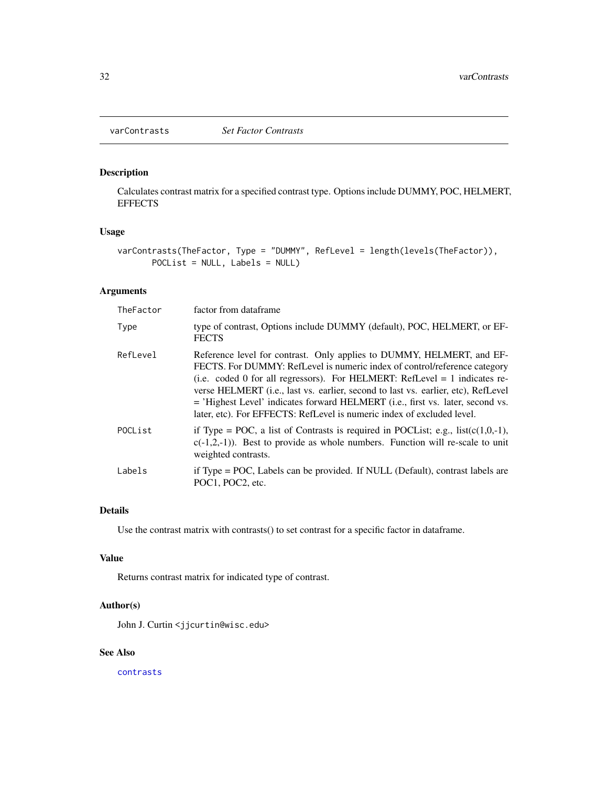<span id="page-31-1"></span><span id="page-31-0"></span>

Calculates contrast matrix for a specified contrast type. Options include DUMMY, POC, HELMERT, **EFFECTS** 

### Usage

```
varContrasts(TheFactor, Type = "DUMMY", RefLevel = length(levels(TheFactor)),
      POCList = NULL, Labels = NULL)
```
### Arguments

| TheFactor | factor from dataframe                                                                                                                                                                                                                                                                                                                                                                                                                                                                       |
|-----------|---------------------------------------------------------------------------------------------------------------------------------------------------------------------------------------------------------------------------------------------------------------------------------------------------------------------------------------------------------------------------------------------------------------------------------------------------------------------------------------------|
| Type      | type of contrast, Options include DUMMY (default), POC, HELMERT, or EF-<br><b>FECTS</b>                                                                                                                                                                                                                                                                                                                                                                                                     |
| RefLevel  | Reference level for contrast. Only applies to DUMMY, HELMERT, and EF-<br>FECTS. For DUMMY: RefLevel is numeric index of control/reference category<br>(i.e. coded 0 for all regressors). For HELMERT: RefLevel $= 1$ indicates re-<br>verse HELMERT ( <i>i.e., last vs. earlier, second to last vs. earlier, etc), RefLevel</i><br>= 'Highest Level' indicates forward HELMERT (i.e., first vs. later, second vs.<br>later, etc). For EFFECTS: RefLevel is numeric index of excluded level. |
| POCList   | if Type = POC, a list of Contrasts is required in POCList; e.g., $list(c(1,0,-1))$ ,<br>$c(-1,2,-1)$ ). Best to provide as whole numbers. Function will re-scale to unit<br>weighted contrasts.                                                                                                                                                                                                                                                                                             |
| Labels    | if Type = POC, Labels can be provided. If NULL (Default), contrast labels are<br>POC1, POC2, etc.                                                                                                                                                                                                                                                                                                                                                                                           |

### Details

Use the contrast matrix with contrasts() to set contrast for a specific factor in dataframe.

#### Value

Returns contrast matrix for indicated type of contrast.

### Author(s)

John J. Curtin <jjcurtin@wisc.edu>

#### See Also

[contrasts](#page-0-0)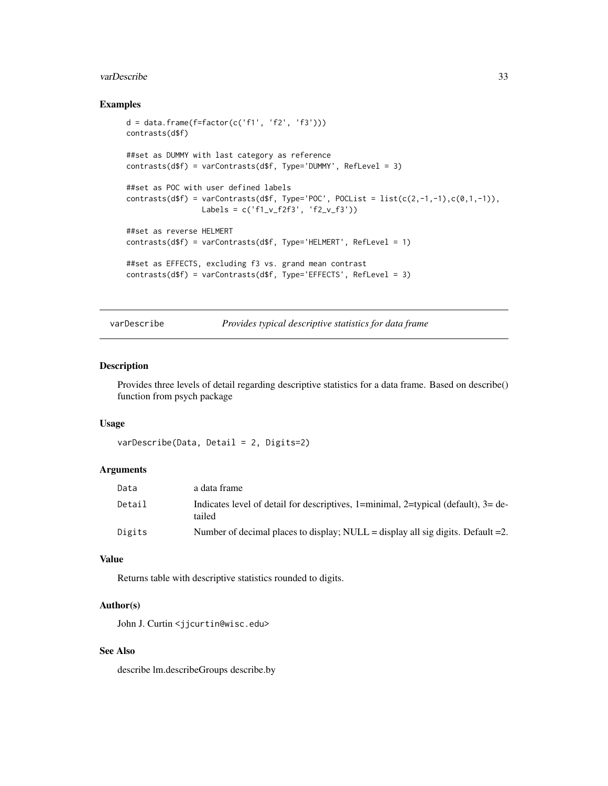#### <span id="page-32-0"></span>varDescribe 33

### Examples

```
d = data-frame(f = factor(c('f1', 'f2', 'f3')))contrasts(d$f)
##set as DUMMY with last category as reference
contrasts(d$f) = varContrasts(d$f, Type='DUMMY', RefLevel = 3)
##set as POC with user defined labels
contrasts(d$f) = varContrasts(d$f, Type='POC', POCList = list(c(2,-1,-1),c(0,1,-1)),
                Labels = c('f1_v_f2f3', 'f2_v_f3'))
##set as reverse HELMERT
contrasts(d$f) = varContrasts(d$f, Type='HELMERT', RefLevel = 1)
##set as EFFECTS, excluding f3 vs. grand mean contrast
contrasts(d$f) = varContrasts(d$f, Type='EFFECTS', RefLevel = 3)
```
<span id="page-32-1"></span>varDescribe *Provides typical descriptive statistics for data frame*

### Description

Provides three levels of detail regarding descriptive statistics for a data frame. Based on describe() function from psych package

#### Usage

```
varDescribe(Data, Detail = 2, Digits=2)
```
### Arguments

| Data   | a data frame                                                                                   |
|--------|------------------------------------------------------------------------------------------------|
| Detail | Indicates level of detail for descriptives, 1=minimal, 2=typical (default), $3=$ de-<br>tailed |
| Digits | Number of decimal places to display; NULL = display all sig digits. Default = 2.               |

#### Value

Returns table with descriptive statistics rounded to digits.

#### Author(s)

John J. Curtin <jjcurtin@wisc.edu>

### See Also

describe lm.describeGroups describe.by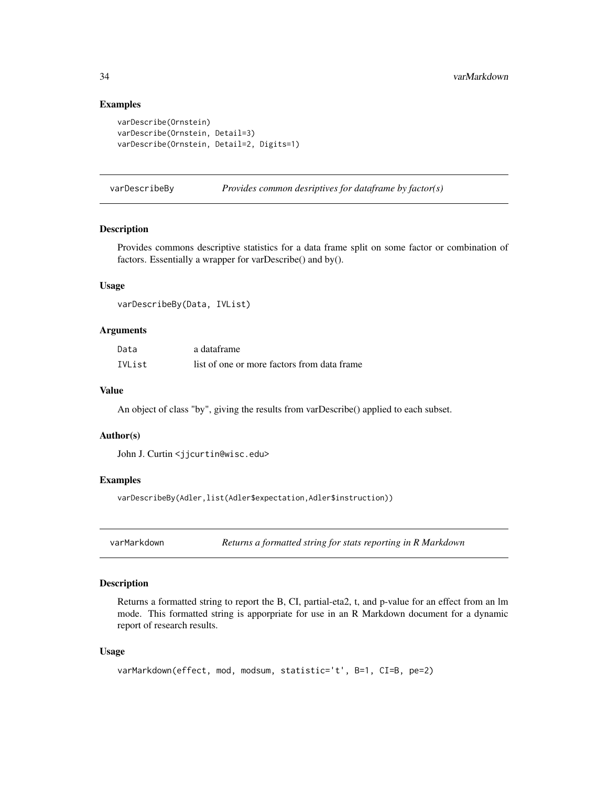#### Examples

```
varDescribe(Ornstein)
varDescribe(Ornstein, Detail=3)
varDescribe(Ornstein, Detail=2, Digits=1)
```
<span id="page-33-1"></span>varDescribeBy *Provides common desriptives for dataframe by factor(s)*

#### Description

Provides commons descriptive statistics for a data frame split on some factor or combination of factors. Essentially a wrapper for varDescribe() and by().

#### Usage

varDescribeBy(Data, IVList)

#### **Arguments**

| Data   | a dataframe                                 |
|--------|---------------------------------------------|
| IVList | list of one or more factors from data frame |

#### Value

An object of class "by", giving the results from varDescribe() applied to each subset.

#### Author(s)

John J. Curtin <jjcurtin@wisc.edu>

### Examples

varDescribeBy(Adler,list(Adler\$expectation,Adler\$instruction))

varMarkdown *Returns a formatted string for stats reporting in R Markdown*

### Description

Returns a formatted string to report the B, CI, partial-eta2, t, and p-value for an effect from an lm mode. This formatted string is apporpriate for use in an R Markdown document for a dynamic report of research results.

#### Usage

```
varMarkdown(effect, mod, modsum, statistic='t', B=1, CI=B, pe=2)
```
<span id="page-33-0"></span>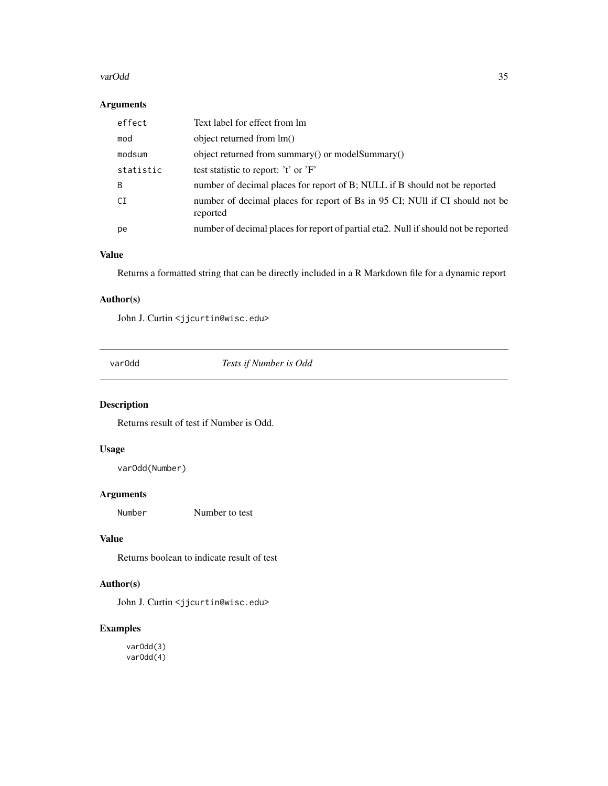#### <span id="page-34-0"></span>varOdd 35

### Arguments

|     | effect    | Text label for effect from lm                                                            |
|-----|-----------|------------------------------------------------------------------------------------------|
| mod |           | object returned from lm()                                                                |
|     | modsum    | object returned from summary() or modelSummary()                                         |
|     | statistic | test statistic to report: 't' or 'F'                                                     |
| B   |           | number of decimal places for report of B; NULL if B should not be reported               |
| CI  |           | number of decimal places for report of Bs in 95 CI; NUII if CI should not be<br>reported |
| pe  |           | number of decimal places for report of partial eta2. Null if should not be reported      |

### Value

Returns a formatted string that can be directly included in a R Markdown file for a dynamic report

### Author(s)

John J. Curtin <jjcurtin@wisc.edu>

varOdd *Tests if Number is Odd*

### Description

Returns result of test if Number is Odd.

### Usage

varOdd(Number)

#### Arguments

Number Number to test

### Value

Returns boolean to indicate result of test

### Author(s)

John J. Curtin <jjcurtin@wisc.edu>

### Examples

varOdd(3) varOdd(4)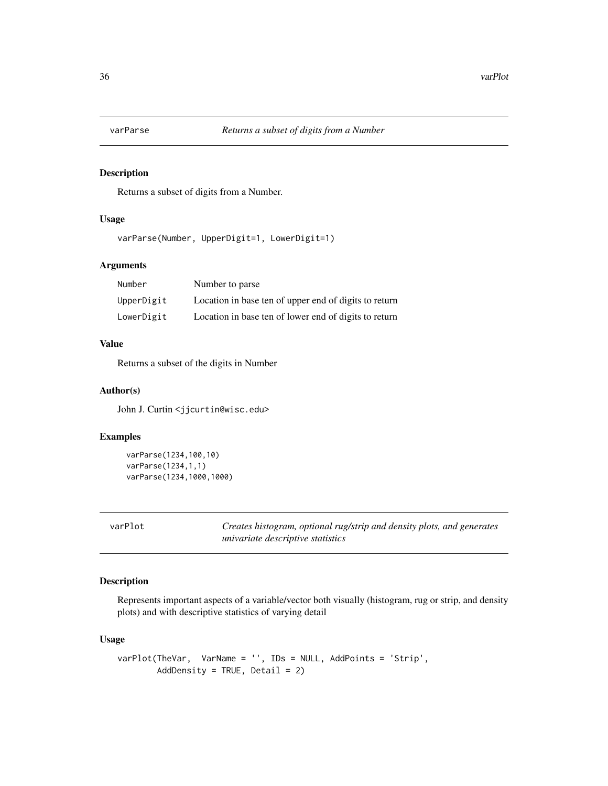<span id="page-35-0"></span>

Returns a subset of digits from a Number.

### Usage

varParse(Number, UpperDigit=1, LowerDigit=1)

#### Arguments

| Number     | Number to parse                                       |
|------------|-------------------------------------------------------|
| UpperDigit | Location in base ten of upper end of digits to return |
| LowerDigit | Location in base ten of lower end of digits to return |

### Value

Returns a subset of the digits in Number

#### Author(s)

John J. Curtin <jjcurtin@wisc.edu>

### Examples

```
varParse(1234,100,10)
varParse(1234,1,1)
varParse(1234,1000,1000)
```
<span id="page-35-1"></span>varPlot *Creates histogram, optional rug/strip and density plots, and generates univariate descriptive statistics*

### Description

Represents important aspects of a variable/vector both visually (histogram, rug or strip, and density plots) and with descriptive statistics of varying detail

### Usage

```
varPlot(TheVar, VarName = '', IDs = NULL, AddPoints = 'Strip',
       AddDensity = TRUE, Detail = 2)
```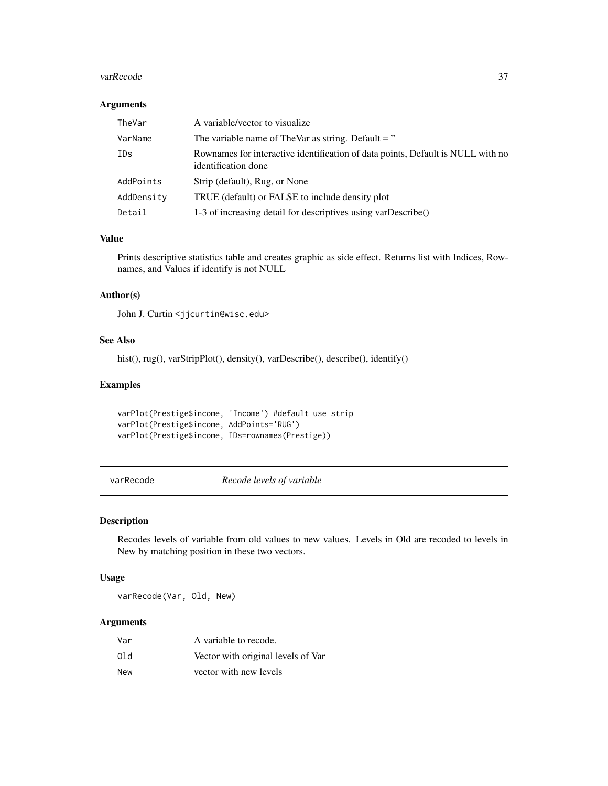#### <span id="page-36-0"></span>varRecode 37

### Arguments

| TheVar     | A variable/vector to visualize                                                                         |
|------------|--------------------------------------------------------------------------------------------------------|
| VarName    | The variable name of TheVar as string. Default $=$ "                                                   |
| IDs        | Rownames for interactive identification of data points, Default is NULL with no<br>identification done |
| AddPoints  | Strip (default), Rug, or None                                                                          |
| AddDensity | TRUE (default) or FALSE to include density plot                                                        |
| Detail     | 1-3 of increasing detail for descriptives using varDescribe()                                          |

#### Value

Prints descriptive statistics table and creates graphic as side effect. Returns list with Indices, Rownames, and Values if identify is not NULL

### Author(s)

John J. Curtin <jjcurtin@wisc.edu>

### See Also

hist(), rug(), varStripPlot(), density(), varDescribe(), describe(), identify()

#### Examples

```
varPlot(Prestige$income, 'Income') #default use strip
varPlot(Prestige$income, AddPoints='RUG')
varPlot(Prestige$income, IDs=rownames(Prestige))
```
varRecode *Recode levels of variable*

#### Description

Recodes levels of variable from old values to new values. Levels in Old are recoded to levels in New by matching position in these two vectors.

#### Usage

varRecode(Var, Old, New)

### Arguments

| Var | A variable to recode.              |
|-----|------------------------------------|
| 01d | Vector with original levels of Var |
| New | vector with new levels             |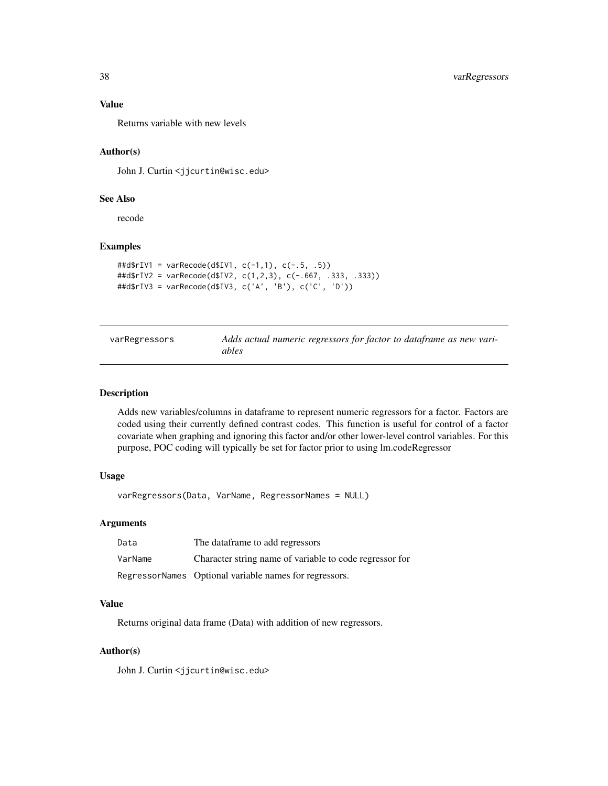### Value

Returns variable with new levels

### Author(s)

John J. Curtin <jjcurtin@wisc.edu>

#### See Also

recode

### Examples

```
##d$rIV1 = varRecode(d$IV1, c(-1,1), c(-.5, .5))
##d$rIV2 = varRecode(d$IV2, c(1,2,3), c(-.667, .333, .333))
##d$rIV3 = varRecode(d$IV3, c('A', 'B'), c('C', 'D'))
```
<span id="page-37-1"></span>

| varRegressors | Adds actual numeric regressors for factor to dataframe as new vari- |
|---------------|---------------------------------------------------------------------|
|               | ables                                                               |

#### Description

Adds new variables/columns in dataframe to represent numeric regressors for a factor. Factors are coded using their currently defined contrast codes. This function is useful for control of a factor covariate when graphing and ignoring this factor and/or other lower-level control variables. For this purpose, POC coding will typically be set for factor prior to using lm.codeRegressor

#### Usage

varRegressors(Data, VarName, RegressorNames = NULL)

### Arguments

| Data    | The dataframe to add regressors                         |
|---------|---------------------------------------------------------|
| VarName | Character string name of variable to code regressor for |
|         | RegressorNames Optional variable names for regressors.  |

#### Value

Returns original data frame (Data) with addition of new regressors.

#### Author(s)

John J. Curtin <jjcurtin@wisc.edu>

<span id="page-37-0"></span>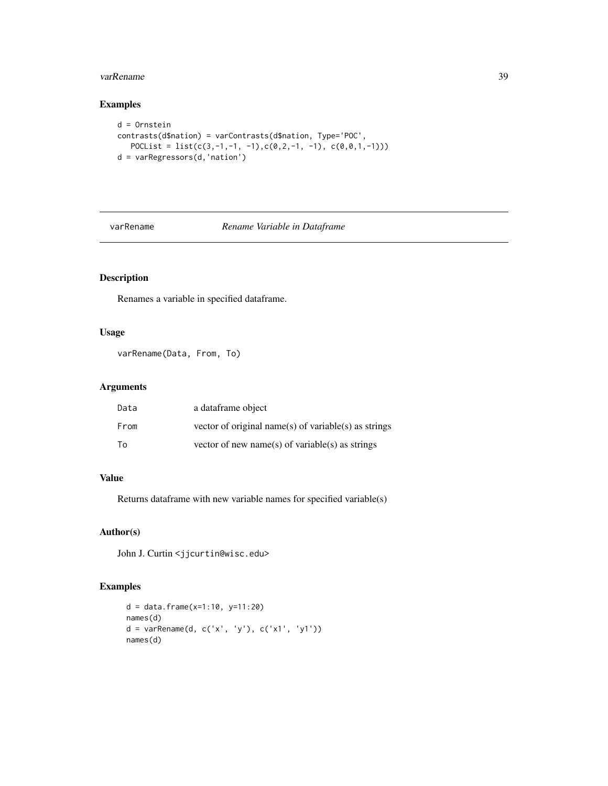#### <span id="page-38-0"></span>varRename 39

### Examples

```
d = Ornstein
contrasts(d$nation) = varContrasts(d$nation, Type='POC',
   POCList = list(c(3,-1,-1, -1),c(0,2,-1, -1), c(0,0,1,-1)))
d = varRegressors(d,'nation')
```
<span id="page-38-1"></span>varRename *Rename Variable in Dataframe*

### Description

Renames a variable in specified dataframe.

### Usage

varRename(Data, From, To)

### Arguments

| Data | a dataframe object                                   |
|------|------------------------------------------------------|
| From | vector of original name(s) of variable(s) as strings |
| Tο   | vector of new name(s) of variable(s) as strings      |

### Value

Returns dataframe with new variable names for specified variable(s)

### Author(s)

John J. Curtin <jjcurtin@wisc.edu>

```
d = data. frame(x=1:10, y=11:20)names(d)
d = varRename(d, c('x', 'y'), c('x1', 'y1'))
names(d)
```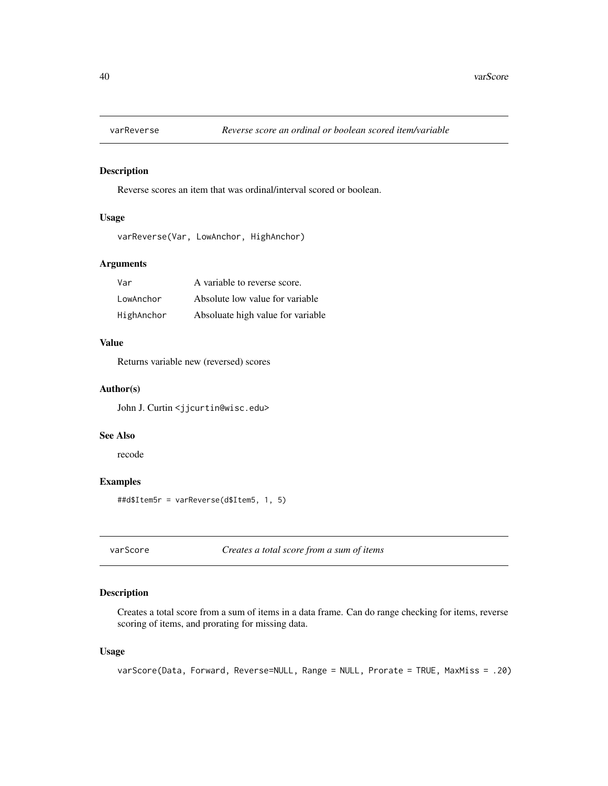<span id="page-39-0"></span>

Reverse scores an item that was ordinal/interval scored or boolean.

### Usage

```
varReverse(Var, LowAnchor, HighAnchor)
```
#### Arguments

| Var        | A variable to reverse score.      |
|------------|-----------------------------------|
| LowAnchor  | Absolute low value for variable   |
| HighAnchor | Absoluate high value for variable |

#### Value

Returns variable new (reversed) scores

#### Author(s)

John J. Curtin <jjcurtin@wisc.edu>

#### See Also

recode

### Examples

##d\$Item5r = varReverse(d\$Item5, 1, 5)

varScore *Creates a total score from a sum of items*

### Description

Creates a total score from a sum of items in a data frame. Can do range checking for items, reverse scoring of items, and prorating for missing data.

#### Usage

```
varScore(Data, Forward, Reverse=NULL, Range = NULL, Prorate = TRUE, MaxMiss = .20)
```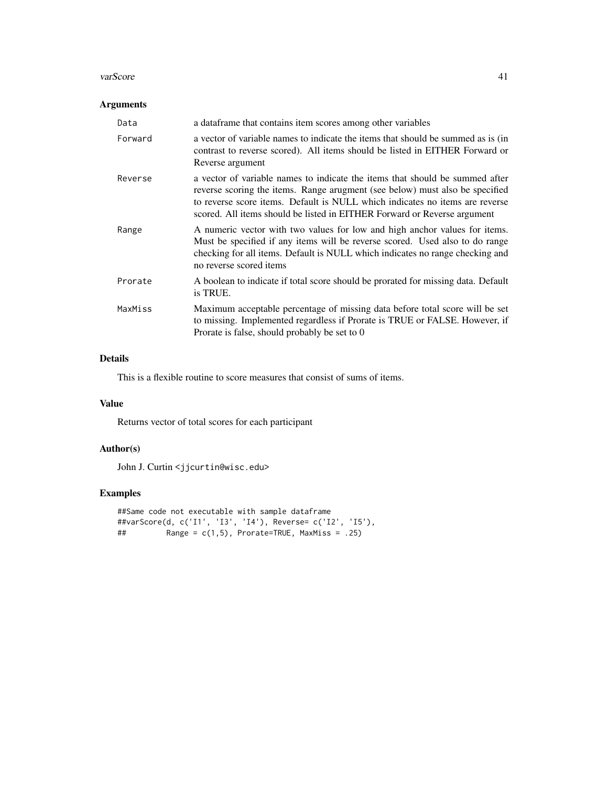#### varScore **41**

### Arguments

| Data    | a data frame that contains item scores among other variables                                                                                                                                                                                                                                                             |
|---------|--------------------------------------------------------------------------------------------------------------------------------------------------------------------------------------------------------------------------------------------------------------------------------------------------------------------------|
| Forward | a vector of variable names to indicate the items that should be summed as is (in<br>contrast to reverse scored). All items should be listed in EITHER Forward or<br>Reverse argument                                                                                                                                     |
| Reverse | a vector of variable names to indicate the items that should be summed after<br>reverse scoring the items. Range arugment (see below) must also be specified<br>to reverse score items. Default is NULL which indicates no items are reverse<br>scored. All items should be listed in EITHER Forward or Reverse argument |
| Range   | A numeric vector with two values for low and high anchor values for items.<br>Must be specified if any items will be reverse scored. Used also to do range<br>checking for all items. Default is NULL which indicates no range checking and<br>no reverse scored items                                                   |
| Prorate | A boolean to indicate if total score should be prorated for missing data. Default<br>is TRUE.                                                                                                                                                                                                                            |
| MaxMiss | Maximum acceptable percentage of missing data before total score will be set<br>to missing. Implemented regardless if Prorate is TRUE or FALSE. However, if<br>Prorate is false, should probably be set to 0                                                                                                             |

### Details

This is a flexible routine to score measures that consist of sums of items.

### Value

Returns vector of total scores for each participant

### Author(s)

John J. Curtin <jjcurtin@wisc.edu>

```
##Same code not executable with sample dataframe
##varScore(d, c('I1', 'I3', 'I4'), Reverse= c('I2', 'I5'),
## Range = c(1,5), Prorate=TRUE, MaxMiss = .25)
```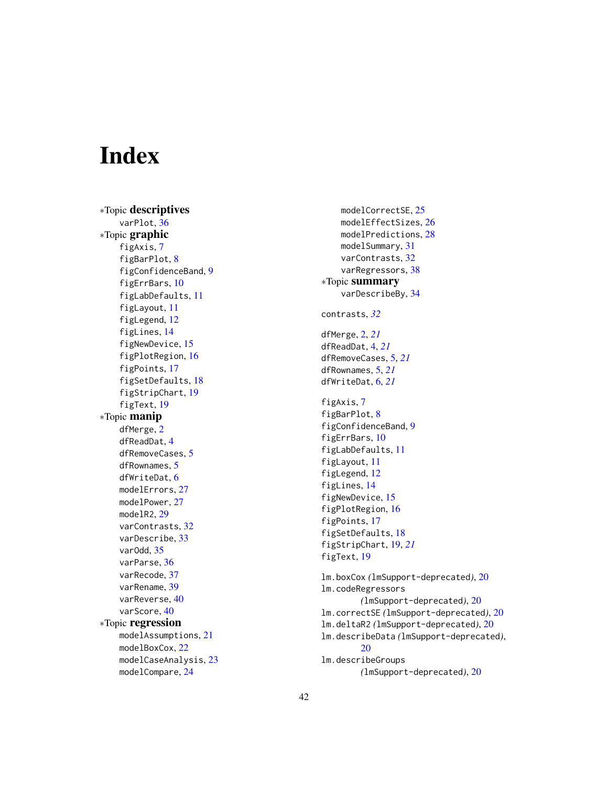# <span id="page-41-0"></span>**Index**

∗Topic descriptives varPlot, [36](#page-35-0) ∗Topic graphic figAxis , [7](#page-6-0) figBarPlot, [8](#page-7-0) figConfidenceBand , [9](#page-8-0) figErrBars , [10](#page-9-0) figLabDefaults , [11](#page-10-0) figLayout , [11](#page-10-0) figLegend , [12](#page-11-0) figLines , [14](#page-13-0) figNewDevice , [15](#page-14-0) figPlotRegion , [16](#page-15-0) figPoints , [17](#page-16-0) figSetDefaults , [18](#page-17-0) figStripChart , [19](#page-18-0) figText , [19](#page-18-0) ∗Topic manip dfMerge , [2](#page-1-0) dfReadDat , [4](#page-3-0) dfRemoveCases , [5](#page-4-0) dfRownames, [5](#page-4-0) dfWriteDat , [6](#page-5-0) modelErrors, [27](#page-26-0) modelPower , [27](#page-26-0) modelR2, [29](#page-28-0) varContrasts , [32](#page-31-0) varDescribe , [33](#page-32-0) varOdd , [35](#page-34-0) varParse, [36](#page-35-0) varRecode , [37](#page-36-0) varRename , [39](#page-38-0) varReverse , [40](#page-39-0) varScore, [40](#page-39-0) ∗Topic regression modelAssumptions , [21](#page-20-0) modelBoxCox , [22](#page-21-0) modelCaseAnalysis , [23](#page-22-0) modelCompare, [24](#page-23-0)

modelCorrectSE, [25](#page-24-0) modelEffectSizes , [26](#page-25-0) modelPredictions , [28](#page-27-0) modelSummary , [31](#page-30-0) varContrasts, [32](#page-31-0) varRegressors, [38](#page-37-0) ∗Topic summary varDescribeBy , [34](#page-33-0) contrasts , *[32](#page-31-0)* dfMerge , [2](#page-1-0) , *[21](#page-20-0)* dfReadDat , [4](#page-3-0) , *[21](#page-20-0)* dfRemoveCases , [5](#page-4-0) , *[21](#page-20-0)* dfRownames , [5](#page-4-0) , *[21](#page-20-0)* dfWriteDat , [6](#page-5-0) , *[21](#page-20-0)* figAxis , [7](#page-6-0) figBarPlot, [8](#page-7-0) figConfidenceBand , [9](#page-8-0) figErrBars , [10](#page-9-0) figLabDefaults , [11](#page-10-0) figLayout , [11](#page-10-0) figLegend , [12](#page-11-0) figLines , [14](#page-13-0) figNewDevice, [15](#page-14-0) figPlotRegion , [16](#page-15-0) figPoints , [17](#page-16-0) figSetDefaults , [18](#page-17-0) figStripChart , [19](#page-18-0) , *[21](#page-20-0)* figText, [19](#page-18-0) lm.boxCox *(*lmSupport-deprecated *)* , [20](#page-19-0) lm.codeRegressors *(*lmSupport-deprecated *)* , [20](#page-19-0) lm.correctSE *(*lmSupport-deprecated *)* , [20](#page-19-0) lm.deltaR2 *(*lmSupport-deprecated *)* , [20](#page-19-0) lm.describeData *(*lmSupport-deprecated *)* , [20](#page-19-0) lm.describeGroups *(*lmSupport-deprecated *)* , [20](#page-19-0)